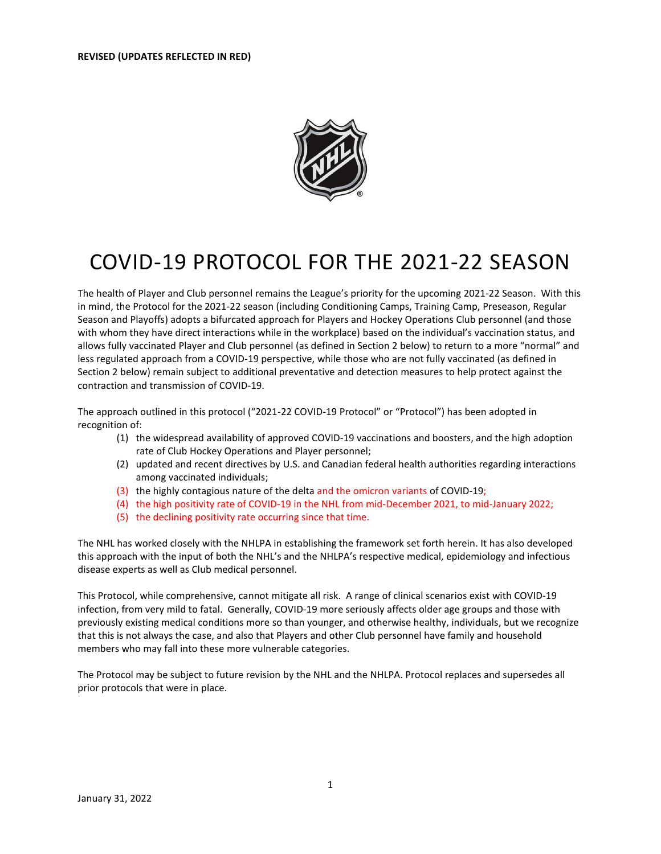

# COVID-19 PROTOCOL FOR THE 2021-22 SEASON

The health of Player and Club personnel remains the League's priority for the upcoming 2021-22 Season. With this in mind, the Protocol for the 2021-22 season (including Conditioning Camps, Training Camp, Preseason, Regular Season and Playoffs) adopts a bifurcated approach for Players and Hockey Operations Club personnel (and those with whom they have direct interactions while in the workplace) based on the individual's vaccination status, and allows fully vaccinated Player and Club personnel (as defined in Section 2 below) to return to a more "normal" and less regulated approach from a COVID-19 perspective, while those who are not fully vaccinated (as defined in Section 2 below) remain subject to additional preventative and detection measures to help protect against the contraction and transmission of COVID-19.

The approach outlined in this protocol ("2021-22 COVID-19 Protocol" or "Protocol") has been adopted in recognition of:

- (1) the widespread availability of approved COVID-19 vaccinations and boosters, and the high adoption rate of Club Hockey Operations and Player personnel;
- (2) updated and recent directives by U.S. and Canadian federal health authorities regarding interactions among vaccinated individuals;
- (3) the highly contagious nature of the delta and the omicron variants of COVID-19;
- (4) the high positivity rate of COVID-19 in the NHL from mid-December 2021, to mid-January 2022;
- (5) the declining positivity rate occurring since that time.

The NHL has worked closely with the NHLPA in establishing the framework set forth herein. It has also developed this approach with the input of both the NHL's and the NHLPA's respective medical, epidemiology and infectious disease experts as well as Club medical personnel.

This Protocol, while comprehensive, cannot mitigate all risk. A range of clinical scenarios exist with COVID-19 infection, from very mild to fatal. Generally, COVID-19 more seriously affects older age groups and those with previously existing medical conditions more so than younger, and otherwise healthy, individuals, but we recognize that this is not always the case, and also that Players and other Club personnel have family and household members who may fall into these more vulnerable categories.

The Protocol may be subject to future revision by the NHL and the NHLPA. Protocol replaces and supersedes all prior protocols that were in place.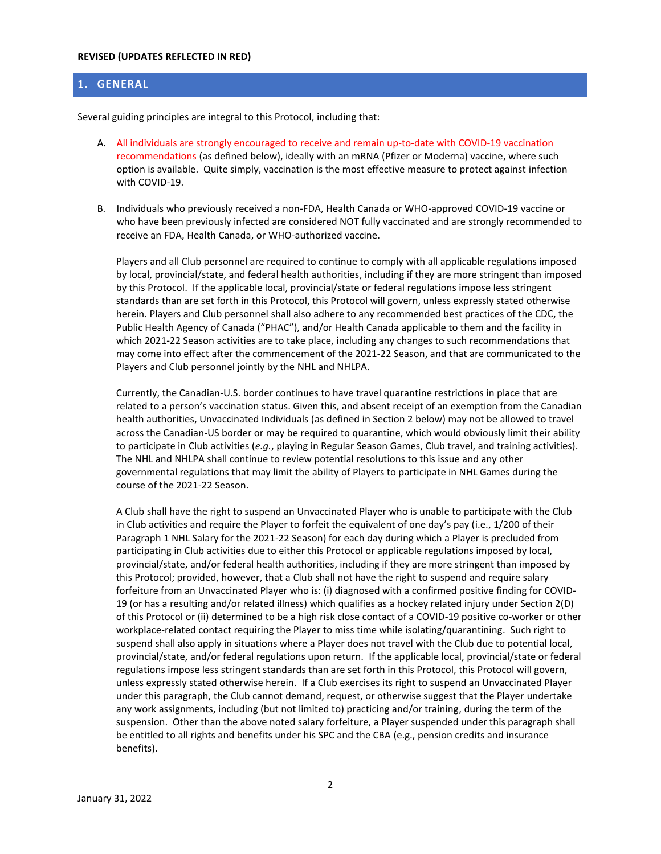# **1. GENERAL**

Several guiding principles are integral to this Protocol, including that:

- A. All individuals are strongly encouraged to receive and remain up-to-date with COVID-19 vaccination recommendations (as defined below), ideally with an mRNA (Pfizer or Moderna) vaccine, where such option is available. Quite simply, vaccination is the most effective measure to protect against infection with COVID-19.
- B. Individuals who previously received a non-FDA, Health Canada or WHO-approved COVID-19 vaccine or who have been previously infected are considered NOT fully vaccinated and are strongly recommended to receive an FDA, Health Canada, or WHO-authorized vaccine.

Players and all Club personnel are required to continue to comply with all applicable regulations imposed by local, provincial/state, and federal health authorities, including if they are more stringent than imposed by this Protocol. If the applicable local, provincial/state or federal regulations impose less stringent standards than are set forth in this Protocol, this Protocol will govern, unless expressly stated otherwise herein. Players and Club personnel shall also adhere to any recommended best practices of the CDC, the Public Health Agency of Canada ("PHAC"), and/or Health Canada applicable to them and the facility in which 2021-22 Season activities are to take place, including any changes to such recommendations that may come into effect after the commencement of the 2021-22 Season, and that are communicated to the Players and Club personnel jointly by the NHL and NHLPA.

Currently, the Canadian-U.S. border continues to have travel quarantine restrictions in place that are related to a person's vaccination status. Given this, and absent receipt of an exemption from the Canadian health authorities, Unvaccinated Individuals (as defined in Section 2 below) may not be allowed to travel across the Canadian-US border or may be required to quarantine, which would obviously limit their ability to participate in Club activities (*e.g.*, playing in Regular Season Games, Club travel, and training activities). The NHL and NHLPA shall continue to review potential resolutions to this issue and any other governmental regulations that may limit the ability of Players to participate in NHL Games during the course of the 2021-22 Season.

A Club shall have the right to suspend an Unvaccinated Player who is unable to participate with the Club in Club activities and require the Player to forfeit the equivalent of one day's pay (i.e., 1/200 of their Paragraph 1 NHL Salary for the 2021-22 Season) for each day during which a Player is precluded from participating in Club activities due to either this Protocol or applicable regulations imposed by local, provincial/state, and/or federal health authorities, including if they are more stringent than imposed by this Protocol; provided, however, that a Club shall not have the right to suspend and require salary forfeiture from an Unvaccinated Player who is: (i) diagnosed with a confirmed positive finding for COVID-19 (or has a resulting and/or related illness) which qualifies as a hockey related injury under Section 2(D) of this Protocol or (ii) determined to be a high risk close contact of a COVID-19 positive co-worker or other workplace-related contact requiring the Player to miss time while isolating/quarantining. Such right to suspend shall also apply in situations where a Player does not travel with the Club due to potential local, provincial/state, and/or federal regulations upon return. If the applicable local, provincial/state or federal regulations impose less stringent standards than are set forth in this Protocol, this Protocol will govern, unless expressly stated otherwise herein. If a Club exercises its right to suspend an Unvaccinated Player under this paragraph, the Club cannot demand, request, or otherwise suggest that the Player undertake any work assignments, including (but not limited to) practicing and/or training, during the term of the suspension. Other than the above noted salary forfeiture, a Player suspended under this paragraph shall be entitled to all rights and benefits under his SPC and the CBA (e.g., pension credits and insurance benefits).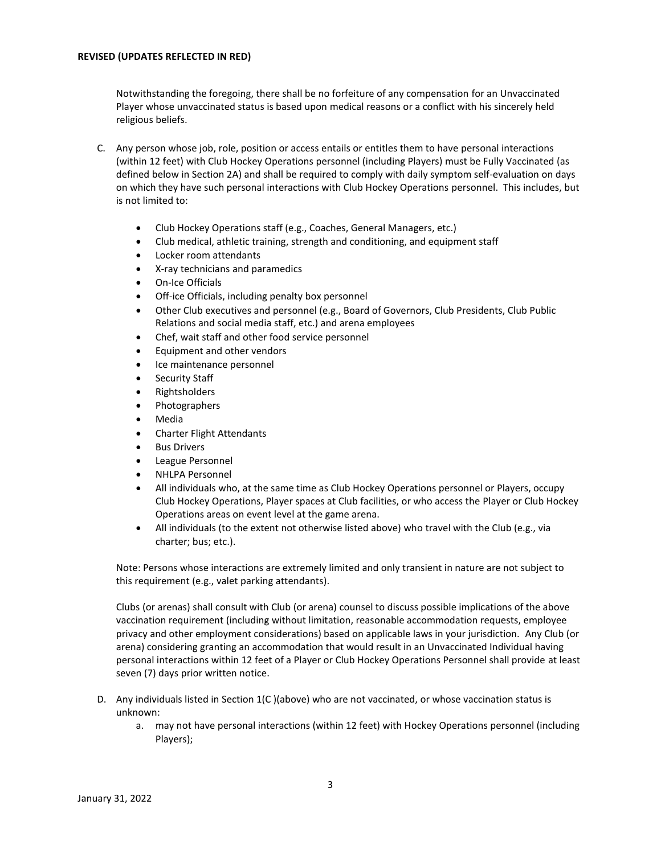Notwithstanding the foregoing, there shall be no forfeiture of any compensation for an Unvaccinated Player whose unvaccinated status is based upon medical reasons or a conflict with his sincerely held religious beliefs.

- C. Any person whose job, role, position or access entails or entitles them to have personal interactions (within 12 feet) with Club Hockey Operations personnel (including Players) must be Fully Vaccinated (as defined below in Section 2A) and shall be required to comply with daily symptom self-evaluation on days on which they have such personal interactions with Club Hockey Operations personnel. This includes, but is not limited to:
	- Club Hockey Operations staff (e.g., Coaches, General Managers, etc.)
	- Club medical, athletic training, strength and conditioning, and equipment staff
	- Locker room attendants
	- X-ray technicians and paramedics
	- On-Ice Officials
	- Off-ice Officials, including penalty box personnel
	- Other Club executives and personnel (e.g., Board of Governors, Club Presidents, Club Public Relations and social media staff, etc.) and arena employees
	- Chef, wait staff and other food service personnel
	- Equipment and other vendors
	- Ice maintenance personnel
	- Security Staff
	- Rightsholders
	- Photographers
	- Media
	- Charter Flight Attendants
	- **Bus Drivers**
	- League Personnel
	- NHLPA Personnel
	- All individuals who, at the same time as Club Hockey Operations personnel or Players, occupy Club Hockey Operations, Player spaces at Club facilities, or who access the Player or Club Hockey Operations areas on event level at the game arena.
	- All individuals (to the extent not otherwise listed above) who travel with the Club (e.g., via charter; bus; etc.).

Note: Persons whose interactions are extremely limited and only transient in nature are not subject to this requirement (e.g., valet parking attendants).

Clubs (or arenas) shall consult with Club (or arena) counsel to discuss possible implications of the above vaccination requirement (including without limitation, reasonable accommodation requests, employee privacy and other employment considerations) based on applicable laws in your jurisdiction. Any Club (or arena) considering granting an accommodation that would result in an Unvaccinated Individual having personal interactions within 12 feet of a Player or Club Hockey Operations Personnel shall provide at least seven (7) days prior written notice.

- D. Any individuals listed in Section 1(C )(above) who are not vaccinated, or whose vaccination status is unknown:
	- a. may not have personal interactions (within 12 feet) with Hockey Operations personnel (including Players);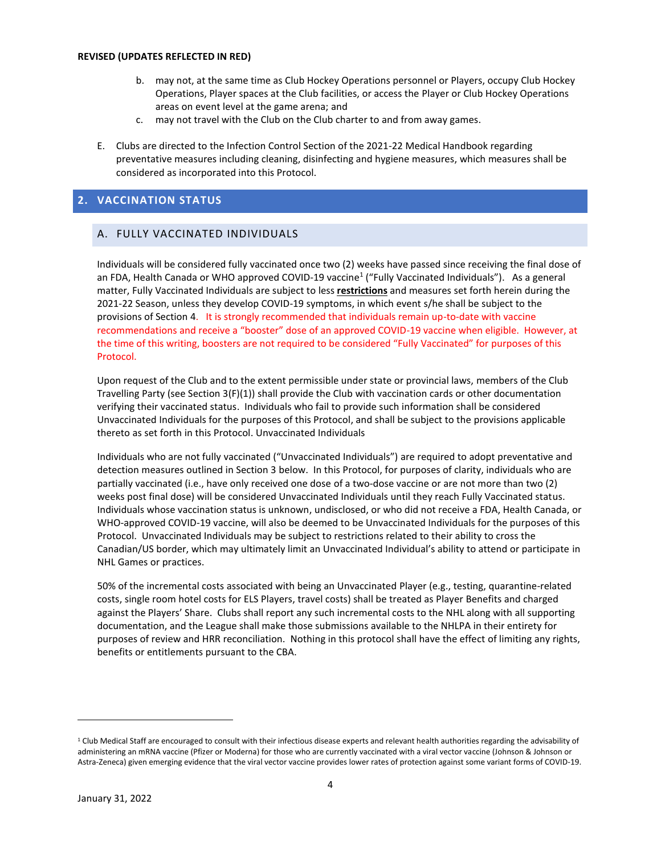- b. may not, at the same time as Club Hockey Operations personnel or Players, occupy Club Hockey Operations, Player spaces at the Club facilities, or access the Player or Club Hockey Operations areas on event level at the game arena; and
- c. may not travel with the Club on the Club charter to and from away games.
- E. Clubs are directed to the Infection Control Section of the 2021-22 Medical Handbook regarding preventative measures including cleaning, disinfecting and hygiene measures, which measures shall be considered as incorporated into this Protocol.

# **2. VACCINATION STATUS**

# A. FULLY VACCINATED INDIVIDUALS

Individuals will be considered fully vaccinated once two (2) weeks have passed since receiving the final dose of an FDA, Health Canada or WHO approved COVID-19 vaccine<sup>1</sup> ("Fully Vaccinated Individuals"). As a general matter, Fully Vaccinated Individuals are subject to less **restrictions** and measures set forth herein during the 2021-22 Season, unless they develop COVID-19 symptoms, in which event s/he shall be subject to the provisions of Section 4. It is strongly recommended that individuals remain up-to-date with vaccine recommendations and receive a "booster" dose of an approved COVID-19 vaccine when eligible. However, at the time of this writing, boosters are not required to be considered "Fully Vaccinated" for purposes of this Protocol.

Upon request of the Club and to the extent permissible under state or provincial laws, members of the Club Travelling Party (see Section 3(F)(1)) shall provide the Club with vaccination cards or other documentation verifying their vaccinated status. Individuals who fail to provide such information shall be considered Unvaccinated Individuals for the purposes of this Protocol, and shall be subject to the provisions applicable thereto as set forth in this Protocol. Unvaccinated Individuals

Individuals who are not fully vaccinated ("Unvaccinated Individuals") are required to adopt preventative and detection measures outlined in Section 3 below. In this Protocol, for purposes of clarity, individuals who are partially vaccinated (i.e., have only received one dose of a two-dose vaccine or are not more than two (2) weeks post final dose) will be considered Unvaccinated Individuals until they reach Fully Vaccinated status. Individuals whose vaccination status is unknown, undisclosed, or who did not receive a FDA, Health Canada, or WHO-approved COVID-19 vaccine, will also be deemed to be Unvaccinated Individuals for the purposes of this Protocol. Unvaccinated Individuals may be subject to restrictions related to their ability to cross the Canadian/US border, which may ultimately limit an Unvaccinated Individual's ability to attend or participate in NHL Games or practices.

50% of the incremental costs associated with being an Unvaccinated Player (e.g., testing, quarantine-related costs, single room hotel costs for ELS Players, travel costs) shall be treated as Player Benefits and charged against the Players' Share. Clubs shall report any such incremental costs to the NHL along with all supporting documentation, and the League shall make those submissions available to the NHLPA in their entirety for purposes of review and HRR reconciliation. Nothing in this protocol shall have the effect of limiting any rights, benefits or entitlements pursuant to the CBA.

<sup>&</sup>lt;sup>1</sup> Club Medical Staff are encouraged to consult with their infectious disease experts and relevant health authorities regarding the advisability of administering an mRNA vaccine (Pfizer or Moderna) for those who are currently vaccinated with a viral vector vaccine (Johnson & Johnson or Astra-Zeneca) given emerging evidence that the viral vector vaccine provides lower rates of protection against some variant forms of COVID-19.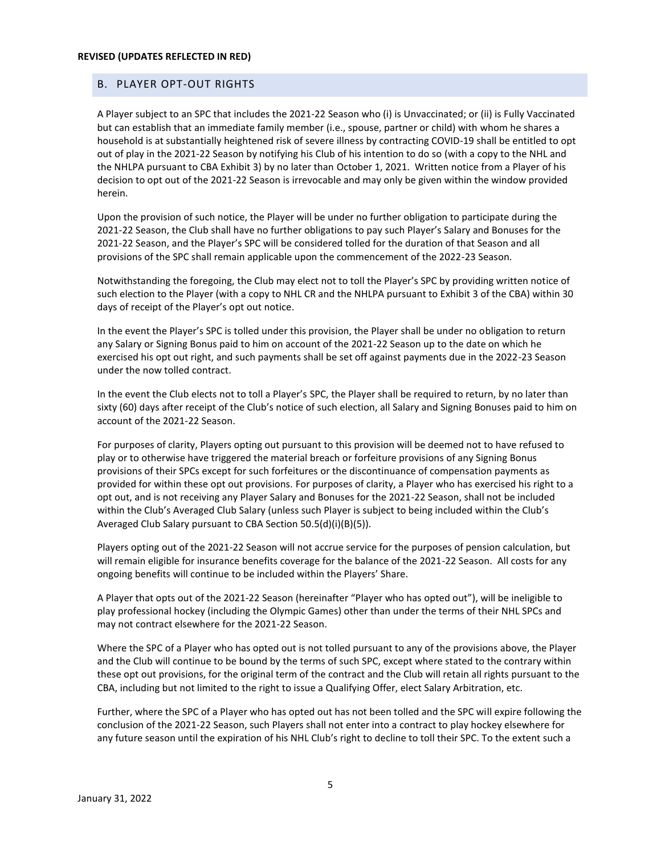#### B. PLAYER OPT-OUT RIGHTS

A Player subject to an SPC that includes the 2021-22 Season who (i) is Unvaccinated; or (ii) is Fully Vaccinated but can establish that an immediate family member (i.e., spouse, partner or child) with whom he shares a household is at substantially heightened risk of severe illness by contracting COVID-19 shall be entitled to opt out of play in the 2021-22 Season by notifying his Club of his intention to do so (with a copy to the NHL and the NHLPA pursuant to CBA Exhibit 3) by no later than October 1, 2021. Written notice from a Player of his decision to opt out of the 2021-22 Season is irrevocable and may only be given within the window provided herein.

Upon the provision of such notice, the Player will be under no further obligation to participate during the 2021-22 Season, the Club shall have no further obligations to pay such Player's Salary and Bonuses for the 2021-22 Season, and the Player's SPC will be considered tolled for the duration of that Season and all provisions of the SPC shall remain applicable upon the commencement of the 2022-23 Season.

Notwithstanding the foregoing, the Club may elect not to toll the Player's SPC by providing written notice of such election to the Player (with a copy to NHL CR and the NHLPA pursuant to Exhibit 3 of the CBA) within 30 days of receipt of the Player's opt out notice.

In the event the Player's SPC is tolled under this provision, the Player shall be under no obligation to return any Salary or Signing Bonus paid to him on account of the 2021-22 Season up to the date on which he exercised his opt out right, and such payments shall be set off against payments due in the 2022-23 Season under the now tolled contract.

In the event the Club elects not to toll a Player's SPC, the Player shall be required to return, by no later than sixty (60) days after receipt of the Club's notice of such election, all Salary and Signing Bonuses paid to him on account of the 2021-22 Season.

For purposes of clarity, Players opting out pursuant to this provision will be deemed not to have refused to play or to otherwise have triggered the material breach or forfeiture provisions of any Signing Bonus provisions of their SPCs except for such forfeitures or the discontinuance of compensation payments as provided for within these opt out provisions. For purposes of clarity, a Player who has exercised his right to a opt out, and is not receiving any Player Salary and Bonuses for the 2021-22 Season, shall not be included within the Club's Averaged Club Salary (unless such Player is subject to being included within the Club's Averaged Club Salary pursuant to CBA Section 50.5(d)(i)(B)(5)).

Players opting out of the 2021-22 Season will not accrue service for the purposes of pension calculation, but will remain eligible for insurance benefits coverage for the balance of the 2021-22 Season. All costs for any ongoing benefits will continue to be included within the Players' Share.

A Player that opts out of the 2021-22 Season (hereinafter "Player who has opted out"), will be ineligible to play professional hockey (including the Olympic Games) other than under the terms of their NHL SPCs and may not contract elsewhere for the 2021-22 Season.

Where the SPC of a Player who has opted out is not tolled pursuant to any of the provisions above, the Player and the Club will continue to be bound by the terms of such SPC, except where stated to the contrary within these opt out provisions, for the original term of the contract and the Club will retain all rights pursuant to the CBA, including but not limited to the right to issue a Qualifying Offer, elect Salary Arbitration, etc.

Further, where the SPC of a Player who has opted out has not been tolled and the SPC will expire following the conclusion of the 2021-22 Season, such Players shall not enter into a contract to play hockey elsewhere for any future season until the expiration of his NHL Club's right to decline to toll their SPC. To the extent such a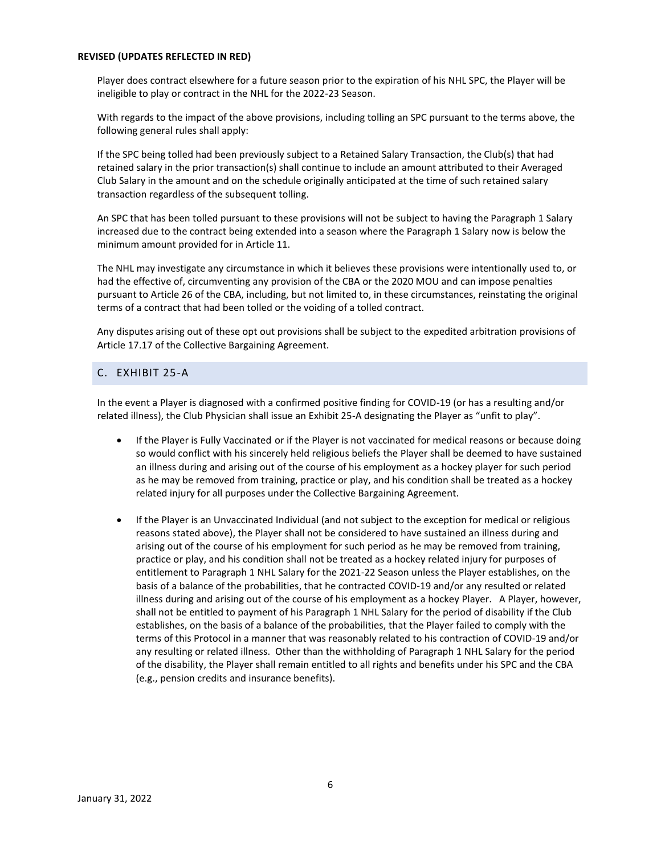Player does contract elsewhere for a future season prior to the expiration of his NHL SPC, the Player will be ineligible to play or contract in the NHL for the 2022-23 Season.

With regards to the impact of the above provisions, including tolling an SPC pursuant to the terms above, the following general rules shall apply:

If the SPC being tolled had been previously subject to a Retained Salary Transaction, the Club(s) that had retained salary in the prior transaction(s) shall continue to include an amount attributed to their Averaged Club Salary in the amount and on the schedule originally anticipated at the time of such retained salary transaction regardless of the subsequent tolling.

An SPC that has been tolled pursuant to these provisions will not be subject to having the Paragraph 1 Salary increased due to the contract being extended into a season where the Paragraph 1 Salary now is below the minimum amount provided for in Article 11.

The NHL may investigate any circumstance in which it believes these provisions were intentionally used to, or had the effective of, circumventing any provision of the CBA or the 2020 MOU and can impose penalties pursuant to Article 26 of the CBA, including, but not limited to, in these circumstances, reinstating the original terms of a contract that had been tolled or the voiding of a tolled contract.

Any disputes arising out of these opt out provisions shall be subject to the expedited arbitration provisions of Article 17.17 of the Collective Bargaining Agreement.

# C. EXHIBIT 25-A

In the event a Player is diagnosed with a confirmed positive finding for COVID-19 (or has a resulting and/or related illness), the Club Physician shall issue an Exhibit 25-A designating the Player as "unfit to play".

- If the Player is Fully Vaccinated or if the Player is not vaccinated for medical reasons or because doing so would conflict with his sincerely held religious beliefs the Player shall be deemed to have sustained an illness during and arising out of the course of his employment as a hockey player for such period as he may be removed from training, practice or play, and his condition shall be treated as a hockey related injury for all purposes under the Collective Bargaining Agreement.
- If the Player is an Unvaccinated Individual (and not subject to the exception for medical or religious reasons stated above), the Player shall not be considered to have sustained an illness during and arising out of the course of his employment for such period as he may be removed from training, practice or play, and his condition shall not be treated as a hockey related injury for purposes of entitlement to Paragraph 1 NHL Salary for the 2021-22 Season unless the Player establishes, on the basis of a balance of the probabilities, that he contracted COVID-19 and/or any resulted or related illness during and arising out of the course of his employment as a hockey Player. A Player, however, shall not be entitled to payment of his Paragraph 1 NHL Salary for the period of disability if the Club establishes, on the basis of a balance of the probabilities, that the Player failed to comply with the terms of this Protocol in a manner that was reasonably related to his contraction of COVID-19 and/or any resulting or related illness. Other than the withholding of Paragraph 1 NHL Salary for the period of the disability, the Player shall remain entitled to all rights and benefits under his SPC and the CBA (e.g., pension credits and insurance benefits).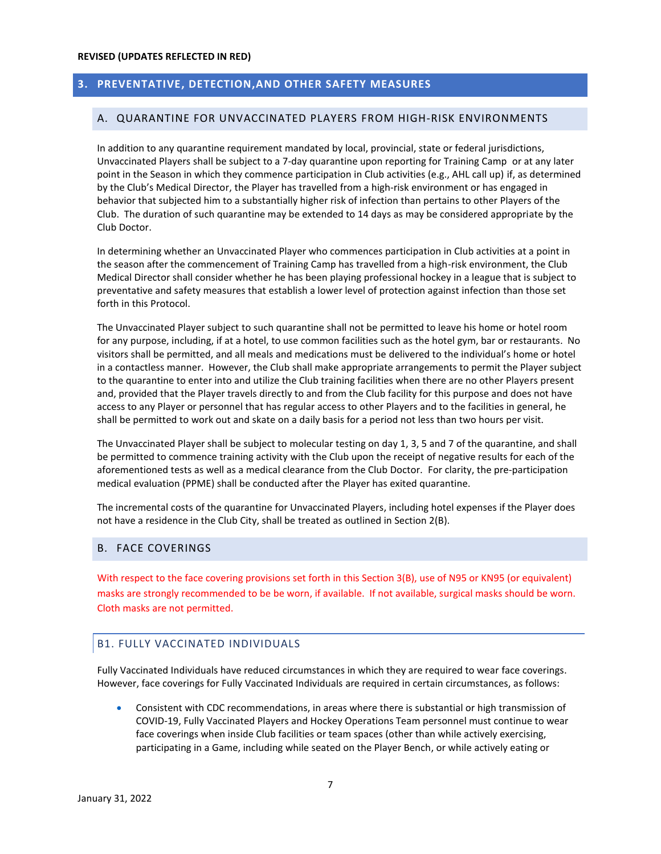# **3. PREVENTATIVE, DETECTION,AND OTHER SAFETY MEASURES**

## A. QUARANTINE FOR UNVACCINATED PLAYERS FROM HIGH-RISK ENVIRONMENTS

In addition to any quarantine requirement mandated by local, provincial, state or federal jurisdictions, Unvaccinated Players shall be subject to a 7-day quarantine upon reporting for Training Camp or at any later point in the Season in which they commence participation in Club activities (e.g., AHL call up) if, as determined by the Club's Medical Director, the Player has travelled from a high-risk environment or has engaged in behavior that subjected him to a substantially higher risk of infection than pertains to other Players of the Club. The duration of such quarantine may be extended to 14 days as may be considered appropriate by the Club Doctor.

In determining whether an Unvaccinated Player who commences participation in Club activities at a point in the season after the commencement of Training Camp has travelled from a high-risk environment, the Club Medical Director shall consider whether he has been playing professional hockey in a league that is subject to preventative and safety measures that establish a lower level of protection against infection than those set forth in this Protocol.

The Unvaccinated Player subject to such quarantine shall not be permitted to leave his home or hotel room for any purpose, including, if at a hotel, to use common facilities such as the hotel gym, bar or restaurants. No visitors shall be permitted, and all meals and medications must be delivered to the individual's home or hotel in a contactless manner. However, the Club shall make appropriate arrangements to permit the Player subject to the quarantine to enter into and utilize the Club training facilities when there are no other Players present and, provided that the Player travels directly to and from the Club facility for this purpose and does not have access to any Player or personnel that has regular access to other Players and to the facilities in general, he shall be permitted to work out and skate on a daily basis for a period not less than two hours per visit.

The Unvaccinated Player shall be subject to molecular testing on day 1, 3, 5 and 7 of the quarantine, and shall be permitted to commence training activity with the Club upon the receipt of negative results for each of the aforementioned tests as well as a medical clearance from the Club Doctor. For clarity, the pre-participation medical evaluation (PPME) shall be conducted after the Player has exited quarantine.

The incremental costs of the quarantine for Unvaccinated Players, including hotel expenses if the Player does not have a residence in the Club City, shall be treated as outlined in Section 2(B).

## B. FACE COVERINGS

With respect to the face covering provisions set forth in this Section 3(B), use of N95 or KN95 (or equivalent) masks are strongly recommended to be be worn, if available. If not available, surgical masks should be worn. Cloth masks are not permitted.

# B1. FULLY VACCINATED INDIVIDUALS

Fully Vaccinated Individuals have reduced circumstances in which they are required to wear face coverings. However, face coverings for Fully Vaccinated Individuals are required in certain circumstances, as follows:

• Consistent with CDC recommendations, in areas where there is substantial or high transmission of COVID-19, Fully Vaccinated Players and Hockey Operations Team personnel must continue to wear face coverings when inside Club facilities or team spaces (other than while actively exercising, participating in a Game, including while seated on the Player Bench, or while actively eating or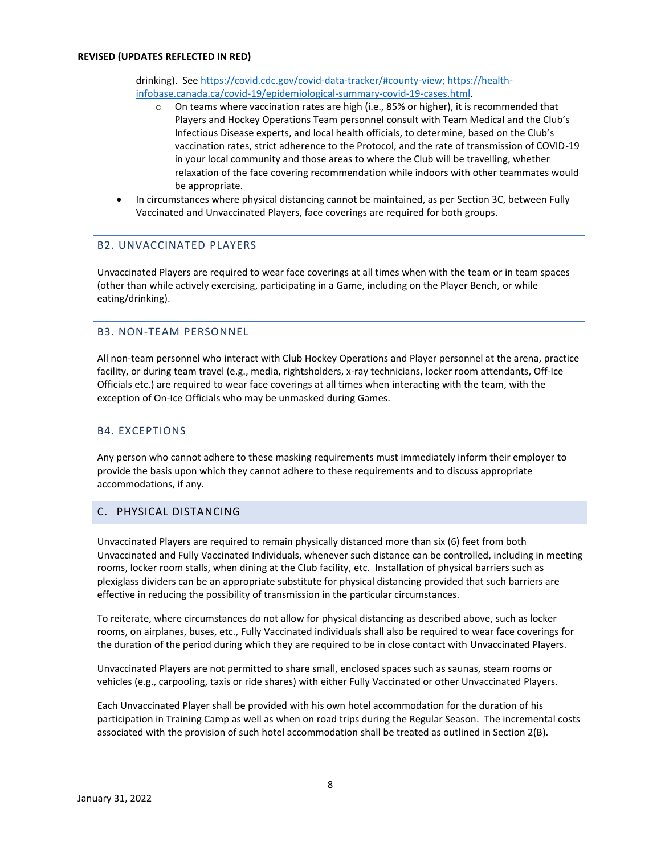drinking). See [https://covid.cdc.gov/covid-data-tracker/#county-view;](https://covid.cdc.gov/covid-data-tracker/#county-view) [https://health](https://health-infobase.canada.ca/covid-19/epidemiological-summary-covid-19-cases.html)[infobase.canada.ca/covid-19/epidemiological-summary-covid-19-cases.html.](https://health-infobase.canada.ca/covid-19/epidemiological-summary-covid-19-cases.html)

- $\circ$  On teams where vaccination rates are high (i.e., 85% or higher), it is recommended that Players and Hockey Operations Team personnel consult with Team Medical and the Club's Infectious Disease experts, and local health officials, to determine, based on the Club's vaccination rates, strict adherence to the Protocol, and the rate of transmission of COVID-19 in your local community and those areas to where the Club will be travelling, whether relaxation of the face covering recommendation while indoors with other teammates would be appropriate.
- In circumstances where physical distancing cannot be maintained, as per Section 3C, between Fully Vaccinated and Unvaccinated Players, face coverings are required for both groups.

# B2. UNVACCINATED PLAYERS

Unvaccinated Players are required to wear face coverings at all times when with the team or in team spaces (other than while actively exercising, participating in a Game, including on the Player Bench, or while eating/drinking).

# B3. NON-TEAM PERSONNEL

All non-team personnel who interact with Club Hockey Operations and Player personnel at the arena, practice facility, or during team travel (e.g., media, rightsholders, x-ray technicians, locker room attendants, Off-Ice Officials etc.) are required to wear face coverings at all times when interacting with the team, with the exception of On-Ice Officials who may be unmasked during Games.

## B4. EXCEPTIONS

Any person who cannot adhere to these masking requirements must immediately inform their employer to provide the basis upon which they cannot adhere to these requirements and to discuss appropriate accommodations, if any.

## C. PHYSICAL DISTANCING

Unvaccinated Players are required to remain physically distanced more than six (6) feet from both Unvaccinated and Fully Vaccinated Individuals, whenever such distance can be controlled, including in meeting rooms, locker room stalls, when dining at the Club facility, etc. Installation of physical barriers such as plexiglass dividers can be an appropriate substitute for physical distancing provided that such barriers are effective in reducing the possibility of transmission in the particular circumstances.

To reiterate, where circumstances do not allow for physical distancing as described above, such as locker rooms, on airplanes, buses, etc., Fully Vaccinated individuals shall also be required to wear face coverings for the duration of the period during which they are required to be in close contact with Unvaccinated Players.

Unvaccinated Players are not permitted to share small, enclosed spaces such as saunas, steam rooms or vehicles (e.g., carpooling, taxis or ride shares) with either Fully Vaccinated or other Unvaccinated Players.

Each Unvaccinated Player shall be provided with his own hotel accommodation for the duration of his participation in Training Camp as well as when on road trips during the Regular Season. The incremental costs associated with the provision of such hotel accommodation shall be treated as outlined in Section 2(B).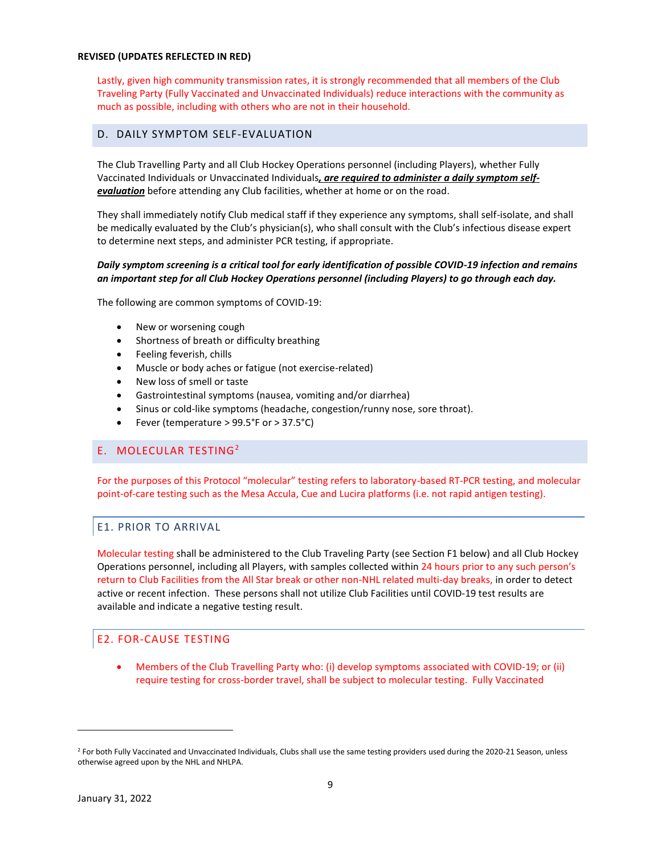Lastly, given high community transmission rates, it is strongly recommended that all members of the Club Traveling Party (Fully Vaccinated and Unvaccinated Individuals) reduce interactions with the community as much as possible, including with others who are not in their household.

# D. DAILY SYMPTOM SELF-EVALUATION

The Club Travelling Party and all Club Hockey Operations personnel (including Players), whether Fully Vaccinated Individuals or Unvaccinated Individuals*, are required to administer a daily symptom selfevaluation* before attending any Club facilities, whether at home or on the road.

They shall immediately notify Club medical staff if they experience any symptoms, shall self-isolate, and shall be medically evaluated by the Club's physician(s), who shall consult with the Club's infectious disease expert to determine next steps, and administer PCR testing, if appropriate.

## *Daily symptom screening is a critical tool for early identification of possible COVID-19 infection and remains an important step for all Club Hockey Operations personnel (including Players) to go through each day.*

The following are common symptoms of COVID-19:

- New or worsening cough
- Shortness of breath or difficulty breathing
- Feeling feverish, chills
- Muscle or body aches or fatigue (not exercise-related)
- New loss of smell or taste
- Gastrointestinal symptoms (nausea, vomiting and/or diarrhea)
- Sinus or cold-like symptoms (headache, congestion/runny nose, sore throat).
- Fever (temperature > 99.5°F or > 37.5°C)

## E. MOLECULAR TESTING<sup>2</sup>

For the purposes of this Protocol "molecular" testing refers to laboratory-based RT-PCR testing, and molecular point-of-care testing such as the Mesa Accula, Cue and Lucira platforms (i.e. not rapid antigen testing).

## E1. PRIOR TO ARRIVAL

Molecular testing shall be administered to the Club Traveling Party (see Section F1 below) and all Club Hockey Operations personnel, including all Players, with samples collected within 24 hours prior to any such person's return to Club Facilities from the All Star break or other non-NHL related multi-day breaks, in order to detect active or recent infection. These persons shall not utilize Club Facilities until COVID-19 test results are available and indicate a negative testing result.

# E2. FOR-CAUSE TESTING

• Members of the Club Travelling Party who: (i) develop symptoms associated with COVID-19; or (ii) require testing for cross-border travel, shall be subject to molecular testing. Fully Vaccinated

<sup>&</sup>lt;sup>2</sup> For both Fully Vaccinated and Unvaccinated Individuals, Clubs shall use the same testing providers used during the 2020-21 Season, unless otherwise agreed upon by the NHL and NHLPA.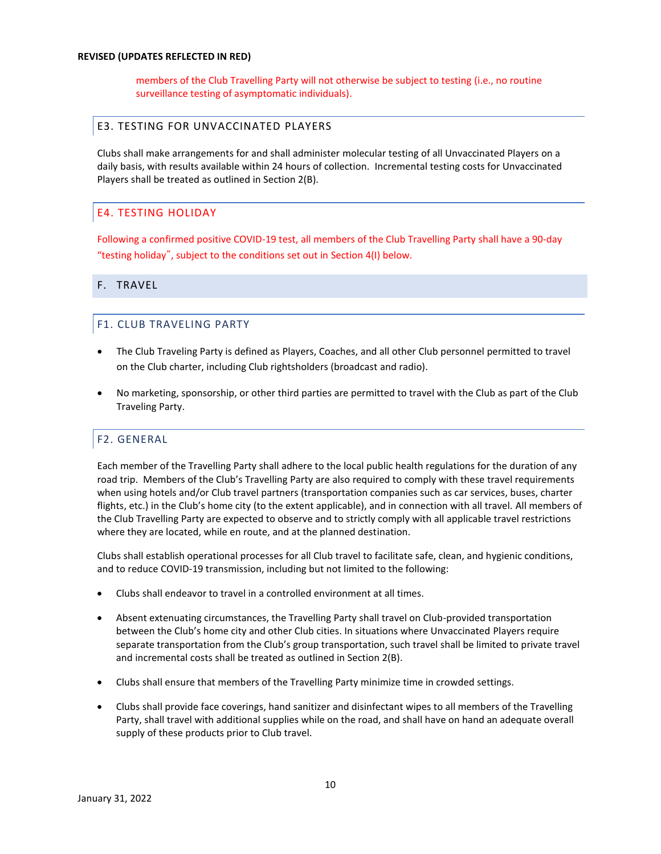members of the Club Travelling Party will not otherwise be subject to testing (i.e., no routine surveillance testing of asymptomatic individuals).

## E3. TESTING FOR UNVACCINATED PLAYERS

Clubs shall make arrangements for and shall administer molecular testing of all Unvaccinated Players on a daily basis, with results available within 24 hours of collection. Incremental testing costs for Unvaccinated Players shall be treated as outlined in Section 2(B).

# E4. TESTING HOLIDAY

Following a confirmed positive COVID-19 test, all members of the Club Travelling Party shall have a 90-day "testing holiday", subject to the conditions set out in Section 4(I) below.

## F. TRAVEL

## F1. CLUB TRAVELING PARTY

- The Club Traveling Party is defined as Players, Coaches, and all other Club personnel permitted to travel on the Club charter, including Club rightsholders (broadcast and radio).
- No marketing, sponsorship, or other third parties are permitted to travel with the Club as part of the Club Traveling Party.

## F2. GENERAL

Each member of the Travelling Party shall adhere to the local public health regulations for the duration of any road trip. Members of the Club's Travelling Party are also required to comply with these travel requirements when using hotels and/or Club travel partners (transportation companies such as car services, buses, charter flights, etc.) in the Club's home city (to the extent applicable), and in connection with all travel. All members of the Club Travelling Party are expected to observe and to strictly comply with all applicable travel restrictions where they are located, while en route, and at the planned destination.

Clubs shall establish operational processes for all Club travel to facilitate safe, clean, and hygienic conditions, and to reduce COVID-19 transmission, including but not limited to the following:

- Clubs shall endeavor to travel in a controlled environment at all times.
- Absent extenuating circumstances, the Travelling Party shall travel on Club-provided transportation between the Club's home city and other Club cities. In situations where Unvaccinated Players require separate transportation from the Club's group transportation, such travel shall be limited to private travel and incremental costs shall be treated as outlined in Section 2(B).
- Clubs shall ensure that members of the Travelling Party minimize time in crowded settings.
- Clubs shall provide face coverings, hand sanitizer and disinfectant wipes to all members of the Travelling Party, shall travel with additional supplies while on the road, and shall have on hand an adequate overall supply of these products prior to Club travel.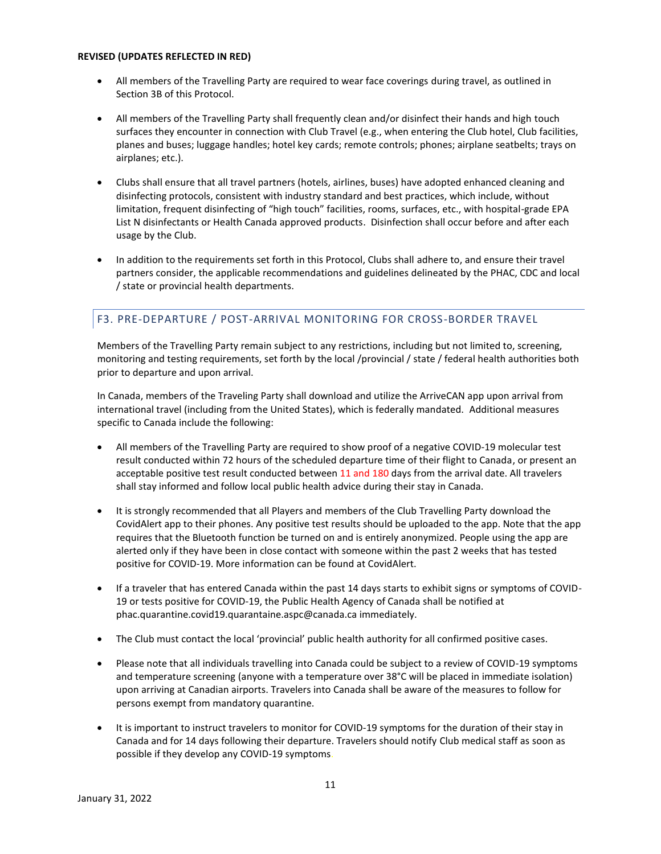- All members of the Travelling Party are required to wear face coverings during travel, as outlined in Section 3B of this Protocol.
- All members of the Travelling Party shall frequently clean and/or disinfect their hands and high touch surfaces they encounter in connection with Club Travel (e.g., when entering the Club hotel, Club facilities, planes and buses; luggage handles; hotel key cards; remote controls; phones; airplane seatbelts; trays on airplanes; etc.).
- Clubs shall ensure that all travel partners (hotels, airlines, buses) have adopted enhanced cleaning and disinfecting protocols, consistent with industry standard and best practices, which include, without limitation, frequent disinfecting of "high touch" facilities, rooms, surfaces, etc., with hospital-grade EPA List N disinfectants or Health Canada approved products. Disinfection shall occur before and after each usage by the Club.
- In addition to the requirements set forth in this Protocol, Clubs shall adhere to, and ensure their travel partners consider, the applicable recommendations and guidelines delineated by the PHAC, CDC and local / state or provincial health departments.

# F3. PRE-DEPARTURE / POST-ARRIVAL MONITORING FOR CROSS-BORDER TRAVEL

Members of the Travelling Party remain subject to any restrictions, including but not limited to, screening, monitoring and testing requirements, set forth by the local /provincial / state / federal health authorities both prior to departure and upon arrival.

In Canada, members of the Traveling Party shall download and utilize the ArriveCAN app upon arrival from international travel (including from the United States), which is federally mandated. Additional measures specific to Canada include the following:

- All members of the Travelling Party are required to show proof of a negative COVID-19 molecular test result conducted within 72 hours of the scheduled departure time of their flight to Canada, or present an acceptable positive test result conducted between 11 and 180 days from the arrival date. All travelers shall stay informed and follow local public health advice during their stay in Canada.
- It is strongly recommended that all Players and members of the Club Travelling Party download the CovidAlert app to their phones. Any positive test results should be uploaded to the app. Note that the app requires that the Bluetooth function be turned on and is entirely anonymized. People using the app are alerted only if they have been in close contact with someone within the past 2 weeks that has tested positive for COVID-19. More information can be found at CovidAlert.
- If a traveler that has entered Canada within the past 14 days starts to exhibit signs or symptoms of COVID-19 or tests positive for COVID-19, the Public Health Agency of Canada shall be notified at phac.quarantine.covid19.quarantaine.aspc@canada.ca immediately.
- The Club must contact the local 'provincial' public health authority for all confirmed positive cases.
- Please note that all individuals travelling into Canada could be subject to a review of COVID-19 symptoms and temperature screening (anyone with a temperature over 38°C will be placed in immediate isolation) upon arriving at Canadian airports. Travelers into Canada shall be aware of the measures to follow for persons exempt from mandatory quarantine.
- It is important to instruct travelers to monitor for COVID-19 symptoms for the duration of their stay in Canada and for 14 days following their departure. Travelers should notify Club medical staff as soon as possible if they develop any COVID-19 symptoms.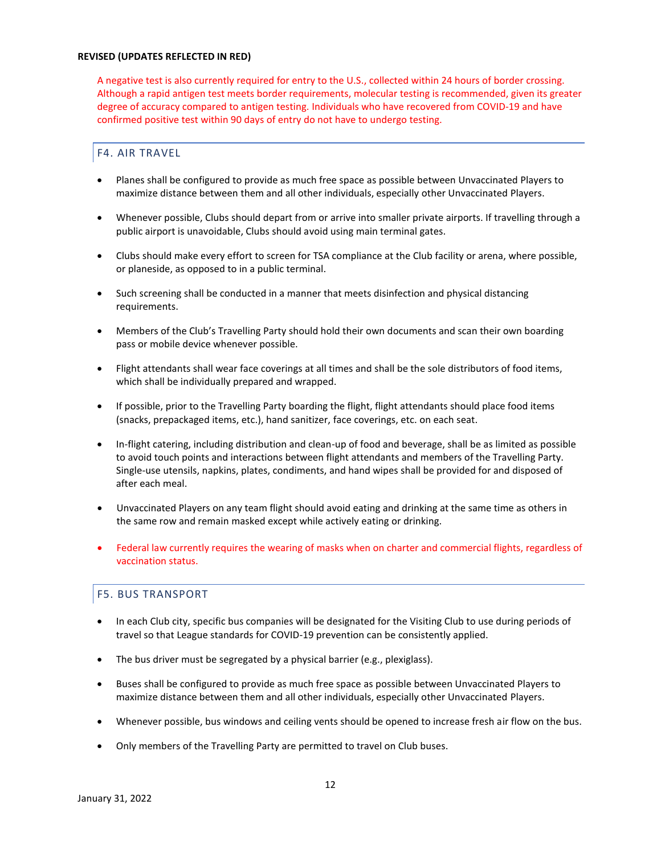A negative test is also currently required for entry to the U.S., collected within 24 hours of border crossing. Although a rapid antigen test meets border requirements, molecular testing is recommended, given its greater degree of accuracy compared to antigen testing. Individuals who have recovered from COVID-19 and have confirmed positive test within 90 days of entry do not have to undergo testing.

# F4. AIR TRAVEL

- Planes shall be configured to provide as much free space as possible between Unvaccinated Players to maximize distance between them and all other individuals, especially other Unvaccinated Players.
- Whenever possible, Clubs should depart from or arrive into smaller private airports. If travelling through a public airport is unavoidable, Clubs should avoid using main terminal gates.
- Clubs should make every effort to screen for TSA compliance at the Club facility or arena, where possible, or planeside, as opposed to in a public terminal.
- Such screening shall be conducted in a manner that meets disinfection and physical distancing requirements.
- Members of the Club's Travelling Party should hold their own documents and scan their own boarding pass or mobile device whenever possible.
- Flight attendants shall wear face coverings at all times and shall be the sole distributors of food items, which shall be individually prepared and wrapped.
- If possible, prior to the Travelling Party boarding the flight, flight attendants should place food items (snacks, prepackaged items, etc.), hand sanitizer, face coverings, etc. on each seat.
- In-flight catering, including distribution and clean-up of food and beverage, shall be as limited as possible to avoid touch points and interactions between flight attendants and members of the Travelling Party. Single-use utensils, napkins, plates, condiments, and hand wipes shall be provided for and disposed of after each meal.
- Unvaccinated Players on any team flight should avoid eating and drinking at the same time as others in the same row and remain masked except while actively eating or drinking.
- Federal law currently requires the wearing of masks when on charter and commercial flights, regardless of vaccination status.

# F5. BUS TRANSPORT

- In each Club city, specific bus companies will be designated for the Visiting Club to use during periods of travel so that League standards for COVID-19 prevention can be consistently applied.
- The bus driver must be segregated by a physical barrier (e.g., plexiglass).
- Buses shall be configured to provide as much free space as possible between Unvaccinated Players to maximize distance between them and all other individuals, especially other Unvaccinated Players.
- Whenever possible, bus windows and ceiling vents should be opened to increase fresh air flow on the bus.
- Only members of the Travelling Party are permitted to travel on Club buses.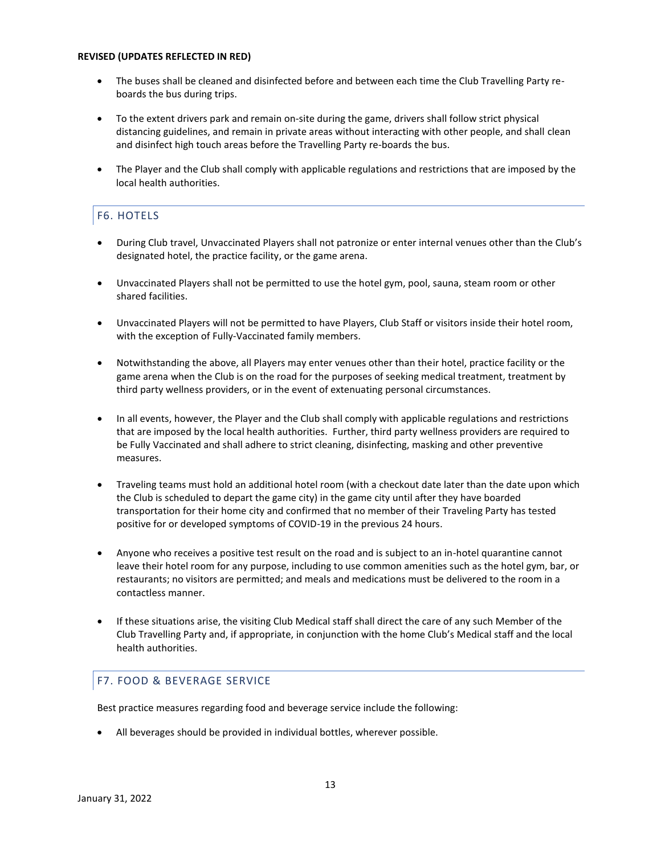- The buses shall be cleaned and disinfected before and between each time the Club Travelling Party reboards the bus during trips.
- To the extent drivers park and remain on-site during the game, drivers shall follow strict physical distancing guidelines, and remain in private areas without interacting with other people, and shall clean and disinfect high touch areas before the Travelling Party re-boards the bus.
- The Player and the Club shall comply with applicable regulations and restrictions that are imposed by the local health authorities.

# F6. HOTELS

- During Club travel, Unvaccinated Players shall not patronize or enter internal venues other than the Club's designated hotel, the practice facility, or the game arena.
- Unvaccinated Players shall not be permitted to use the hotel gym, pool, sauna, steam room or other shared facilities.
- Unvaccinated Players will not be permitted to have Players, Club Staff or visitors inside their hotel room, with the exception of Fully-Vaccinated family members.
- Notwithstanding the above, all Players may enter venues other than their hotel, practice facility or the game arena when the Club is on the road for the purposes of seeking medical treatment, treatment by third party wellness providers, or in the event of extenuating personal circumstances.
- In all events, however, the Player and the Club shall comply with applicable regulations and restrictions that are imposed by the local health authorities. Further, third party wellness providers are required to be Fully Vaccinated and shall adhere to strict cleaning, disinfecting, masking and other preventive measures.
- Traveling teams must hold an additional hotel room (with a checkout date later than the date upon which the Club is scheduled to depart the game city) in the game city until after they have boarded transportation for their home city and confirmed that no member of their Traveling Party has tested positive for or developed symptoms of COVID-19 in the previous 24 hours.
- Anyone who receives a positive test result on the road and is subject to an in-hotel quarantine cannot leave their hotel room for any purpose, including to use common amenities such as the hotel gym, bar, or restaurants; no visitors are permitted; and meals and medications must be delivered to the room in a contactless manner.
- If these situations arise, the visiting Club Medical staff shall direct the care of any such Member of the Club Travelling Party and, if appropriate, in conjunction with the home Club's Medical staff and the local health authorities.

# F7. FOOD & BEVERAGE SERVICE

Best practice measures regarding food and beverage service include the following:

• All beverages should be provided in individual bottles, wherever possible.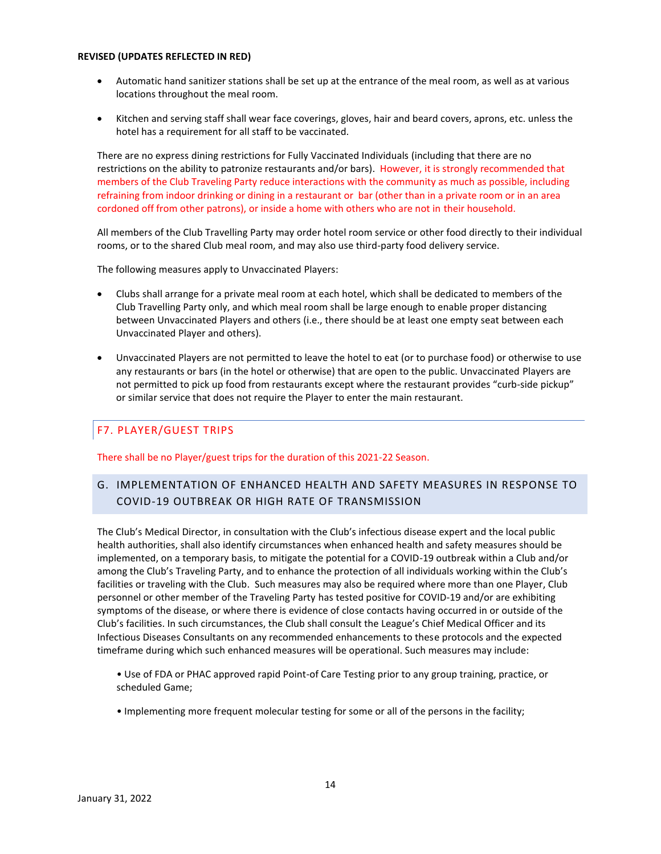- Automatic hand sanitizer stations shall be set up at the entrance of the meal room, as well as at various locations throughout the meal room.
- Kitchen and serving staff shall wear face coverings, gloves, hair and beard covers, aprons, etc. unless the hotel has a requirement for all staff to be vaccinated.

There are no express dining restrictions for Fully Vaccinated Individuals (including that there are no restrictions on the ability to patronize restaurants and/or bars). However, it is strongly recommended that members of the Club Traveling Party reduce interactions with the community as much as possible, including refraining from indoor drinking or dining in a restaurant or bar (other than in a private room or in an area cordoned off from other patrons), or inside a home with others who are not in their household.

All members of the Club Travelling Party may order hotel room service or other food directly to their individual rooms, or to the shared Club meal room, and may also use third-party food delivery service.

The following measures apply to Unvaccinated Players:

- Clubs shall arrange for a private meal room at each hotel, which shall be dedicated to members of the Club Travelling Party only, and which meal room shall be large enough to enable proper distancing between Unvaccinated Players and others (i.e., there should be at least one empty seat between each Unvaccinated Player and others).
- Unvaccinated Players are not permitted to leave the hotel to eat (or to purchase food) or otherwise to use any restaurants or bars (in the hotel or otherwise) that are open to the public. Unvaccinated Players are not permitted to pick up food from restaurants except where the restaurant provides "curb-side pickup" or similar service that does not require the Player to enter the main restaurant.

# F7. PLAYER/GUEST TRIPS

There shall be no Player/guest trips for the duration of this 2021-22 Season.

# G. IMPLEMENTATION OF ENHANCED HEALTH AND SAFETY MEASURES IN RESPONSE TO COVID-19 OUTBREAK OR HIGH RATE OF TRANSMISSION

The Club's Medical Director, in consultation with the Club's infectious disease expert and the local public health authorities, shall also identify circumstances when enhanced health and safety measures should be implemented, on a temporary basis, to mitigate the potential for a COVID-19 outbreak within a Club and/or among the Club's Traveling Party, and to enhance the protection of all individuals working within the Club's facilities or traveling with the Club. Such measures may also be required where more than one Player, Club personnel or other member of the Traveling Party has tested positive for COVID-19 and/or are exhibiting symptoms of the disease, or where there is evidence of close contacts having occurred in or outside of the Club's facilities. In such circumstances, the Club shall consult the League's Chief Medical Officer and its Infectious Diseases Consultants on any recommended enhancements to these protocols and the expected timeframe during which such enhanced measures will be operational. Such measures may include:

- Use of FDA or PHAC approved rapid Point-of Care Testing prior to any group training, practice, or scheduled Game;
- Implementing more frequent molecular testing for some or all of the persons in the facility;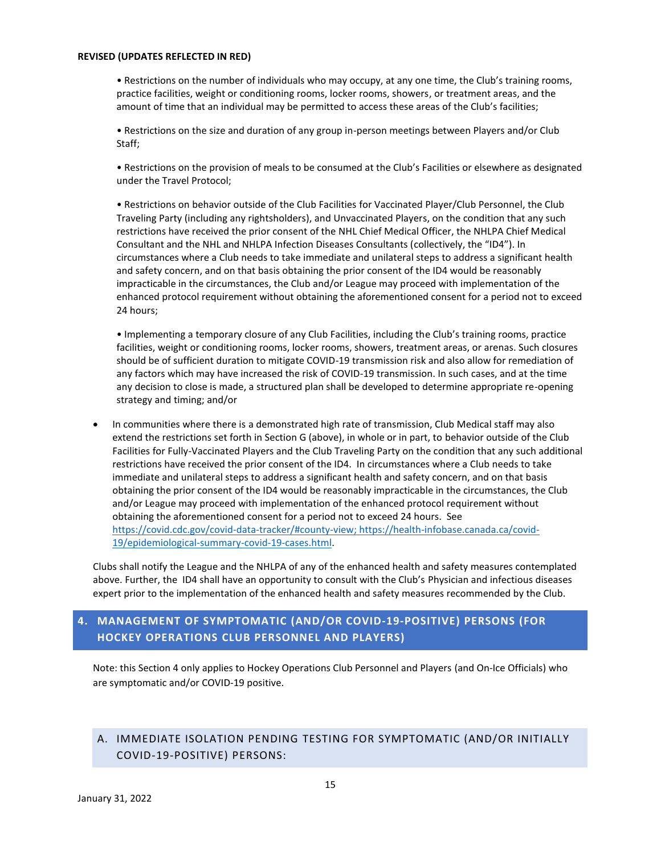• Restrictions on the number of individuals who may occupy, at any one time, the Club's training rooms, practice facilities, weight or conditioning rooms, locker rooms, showers, or treatment areas, and the amount of time that an individual may be permitted to access these areas of the Club's facilities;

• Restrictions on the size and duration of any group in-person meetings between Players and/or Club Staff;

• Restrictions on the provision of meals to be consumed at the Club's Facilities or elsewhere as designated under the Travel Protocol;

• Restrictions on behavior outside of the Club Facilities for Vaccinated Player/Club Personnel, the Club Traveling Party (including any rightsholders), and Unvaccinated Players, on the condition that any such restrictions have received the prior consent of the NHL Chief Medical Officer, the NHLPA Chief Medical Consultant and the NHL and NHLPA Infection Diseases Consultants (collectively, the "ID4"). In circumstances where a Club needs to take immediate and unilateral steps to address a significant health and safety concern, and on that basis obtaining the prior consent of the ID4 would be reasonably impracticable in the circumstances, the Club and/or League may proceed with implementation of the enhanced protocol requirement without obtaining the aforementioned consent for a period not to exceed 24 hours;

• Implementing a temporary closure of any Club Facilities, including the Club's training rooms, practice facilities, weight or conditioning rooms, locker rooms, showers, treatment areas, or arenas. Such closures should be of sufficient duration to mitigate COVID-19 transmission risk and also allow for remediation of any factors which may have increased the risk of COVID-19 transmission. In such cases, and at the time any decision to close is made, a structured plan shall be developed to determine appropriate re-opening strategy and timing; and/or

• In communities where there is a demonstrated high rate of transmission, Club Medical staff may also extend the restrictions set forth in Section G (above), in whole or in part, to behavior outside of the Club Facilities for Fully-Vaccinated Players and the Club Traveling Party on the condition that any such additional restrictions have received the prior consent of the ID4. In circumstances where a Club needs to take immediate and unilateral steps to address a significant health and safety concern, and on that basis obtaining the prior consent of the ID4 would be reasonably impracticable in the circumstances, the Club and/or League may proceed with implementation of the enhanced protocol requirement without obtaining the aforementioned consent for a period not to exceed 24 hours. See [https://covid.cdc.gov/covid-data-tracker/#county-view;](https://covid.cdc.gov/covid-data-tracker/#county-view) [https://health-infobase.canada.ca/covid-](https://health-infobase.canada.ca/covid-19/epidemiological-summary-covid-19-cases.html)[19/epidemiological-summary-covid-19-cases.html.](https://health-infobase.canada.ca/covid-19/epidemiological-summary-covid-19-cases.html)

Clubs shall notify the League and the NHLPA of any of the enhanced health and safety measures contemplated above. Further, the ID4 shall have an opportunity to consult with the Club's Physician and infectious diseases expert prior to the implementation of the enhanced health and safety measures recommended by the Club.

# **4. MANAGEMENT OF SYMPTOMATIC (AND/OR COVID-19-POSITIVE) PERSONS (FOR HOCKEY OPERATIONS CLUB PERSONNEL AND PLAYERS)**

Note: this Section 4 only applies to Hockey Operations Club Personnel and Players (and On-Ice Officials) who are symptomatic and/or COVID-19 positive.

# A. IMMEDIATE ISOLATION PENDING TESTING FOR SYMPTOMATIC (AND/OR INITIALLY COVID-19-POSITIVE) PERSONS: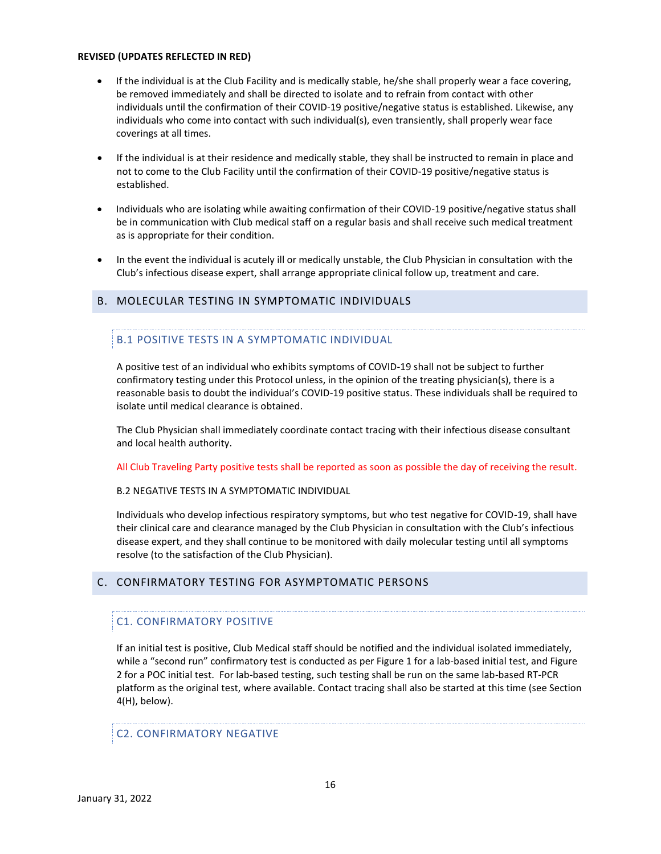- If the individual is at the Club Facility and is medically stable, he/she shall properly wear a face covering, be removed immediately and shall be directed to isolate and to refrain from contact with other individuals until the confirmation of their COVID-19 positive/negative status is established. Likewise, any individuals who come into contact with such individual(s), even transiently, shall properly wear face coverings at all times.
- If the individual is at their residence and medically stable, they shall be instructed to remain in place and not to come to the Club Facility until the confirmation of their COVID-19 positive/negative status is established.
- Individuals who are isolating while awaiting confirmation of their COVID-19 positive/negative status shall be in communication with Club medical staff on a regular basis and shall receive such medical treatment as is appropriate for their condition.
- In the event the individual is acutely ill or medically unstable, the Club Physician in consultation with the Club's infectious disease expert, shall arrange appropriate clinical follow up, treatment and care.

## B. MOLECULAR TESTING IN SYMPTOMATIC INDIVIDUALS

#### B.1 POSITIVE TESTS IN A SYMPTOMATIC INDIVIDUAL

A positive test of an individual who exhibits symptoms of COVID-19 shall not be subject to further confirmatory testing under this Protocol unless, in the opinion of the treating physician(s), there is a reasonable basis to doubt the individual's COVID-19 positive status. These individuals shall be required to isolate until medical clearance is obtained.

The Club Physician shall immediately coordinate contact tracing with their infectious disease consultant and local health authority.

All Club Traveling Party positive tests shall be reported as soon as possible the day of receiving the result.

#### B.2 NEGATIVE TESTS IN A SYMPTOMATIC INDIVIDUAL

Individuals who develop infectious respiratory symptoms, but who test negative for COVID-19, shall have their clinical care and clearance managed by the Club Physician in consultation with the Club's infectious disease expert, and they shall continue to be monitored with daily molecular testing until all symptoms resolve (to the satisfaction of the Club Physician).

#### C. CONFIRMATORY TESTING FOR ASYMPTOMATIC PERSONS

#### C1. CONFIRMATORY POSITIVE

If an initial test is positive, Club Medical staff should be notified and the individual isolated immediately, while a "second run" confirmatory test is conducted as per Figure 1 for a lab-based initial test, and Figure 2 for a POC initial test. For lab-based testing, such testing shall be run on the same lab-based RT-PCR platform as the original test, where available. Contact tracing shall also be started at this time (see Section 4(H), below).

# C2. CONFIRMATORY NEGATIVE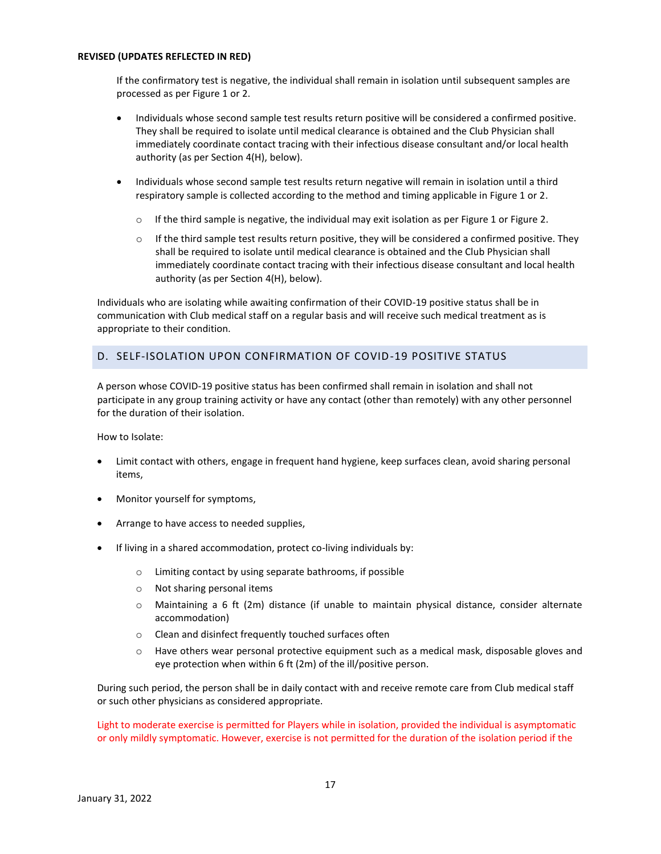If the confirmatory test is negative, the individual shall remain in isolation until subsequent samples are processed as per Figure 1 or 2.

- Individuals whose second sample test results return positive will be considered a confirmed positive. They shall be required to isolate until medical clearance is obtained and the Club Physician shall immediately coordinate contact tracing with their infectious disease consultant and/or local health authority (as per Section 4(H), below).
- Individuals whose second sample test results return negative will remain in isolation until a third respiratory sample is collected according to the method and timing applicable in Figure 1 or 2.
	- $\circ$  If the third sample is negative, the individual may exit isolation as per Figure 1 or Figure 2.
	- $\circ$  If the third sample test results return positive, they will be considered a confirmed positive. They shall be required to isolate until medical clearance is obtained and the Club Physician shall immediately coordinate contact tracing with their infectious disease consultant and local health authority (as per Section 4(H), below).

Individuals who are isolating while awaiting confirmation of their COVID-19 positive status shall be in communication with Club medical staff on a regular basis and will receive such medical treatment as is appropriate to their condition.

# D. SELF-ISOLATION UPON CONFIRMATION OF COVID-19 POSITIVE STATUS

A person whose COVID-19 positive status has been confirmed shall remain in isolation and shall not participate in any group training activity or have any contact (other than remotely) with any other personnel for the duration of their isolation.

How to Isolate:

- Limit contact with others, engage in frequent hand hygiene, keep surfaces clean, avoid sharing personal items,
- Monitor yourself for symptoms,
- Arrange to have access to needed supplies,
- If living in a shared accommodation, protect co-living individuals by:
	- o Limiting contact by using separate bathrooms, if possible
	- o Not sharing personal items
	- o Maintaining a 6 ft (2m) distance (if unable to maintain physical distance, consider alternate accommodation)
	- o Clean and disinfect frequently touched surfaces often
	- o Have others wear personal protective equipment such as a medical mask, disposable gloves and eye protection when within 6 ft (2m) of the ill/positive person.

During such period, the person shall be in daily contact with and receive remote care from Club medical staff or such other physicians as considered appropriate.

Light to moderate exercise is permitted for Players while in isolation, provided the individual is asymptomatic or only mildly symptomatic. However, exercise is not permitted for the duration of the isolation period if the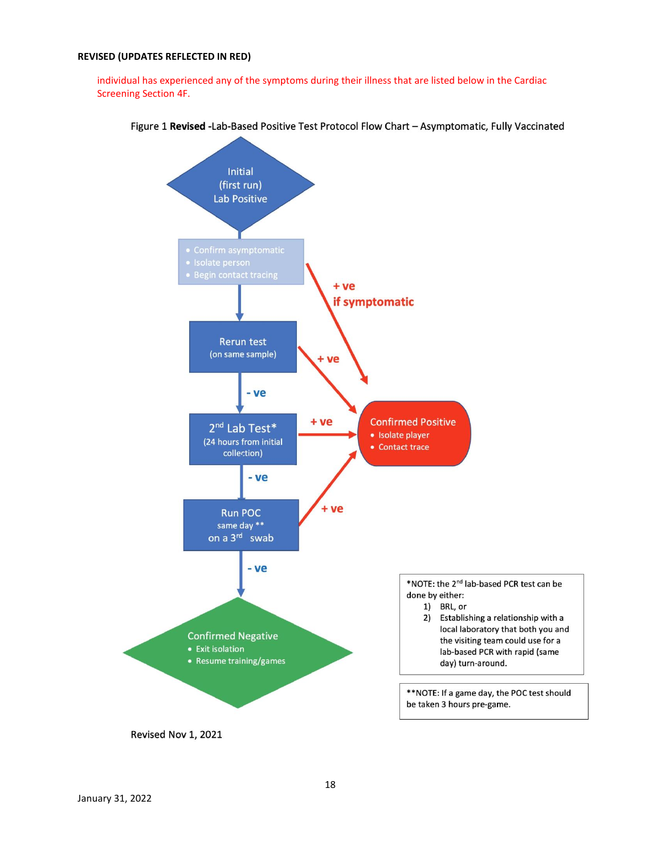individual has experienced any of the symptoms during their illness that are listed below in the Cardiac Screening Section 4F.



Figure 1 Revised -Lab-Based Positive Test Protocol Flow Chart - Asymptomatic, Fully Vaccinated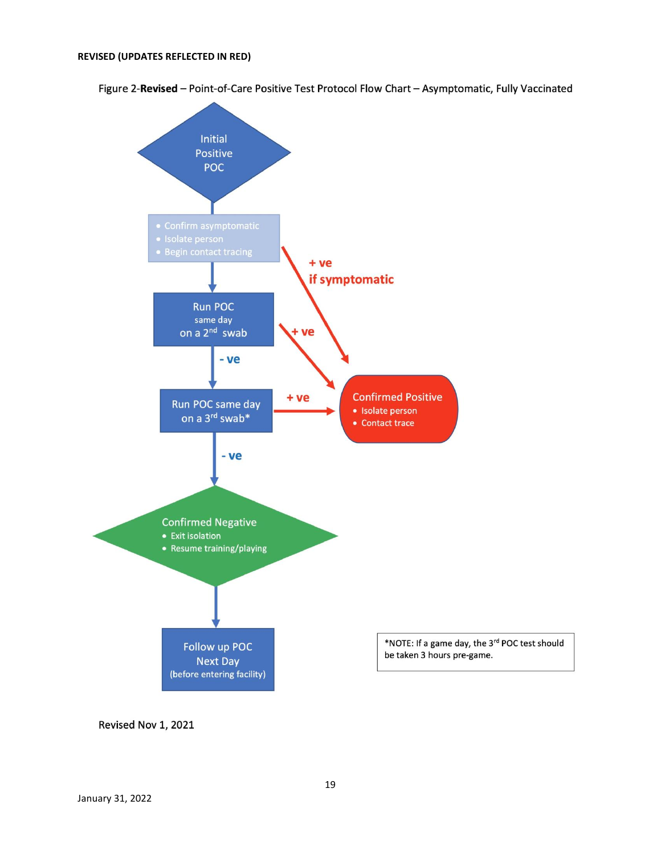Figure 2-Revised - Point-of-Care Positive Test Protocol Flow Chart - Asymptomatic, Fully Vaccinated



Revised Nov 1, 2021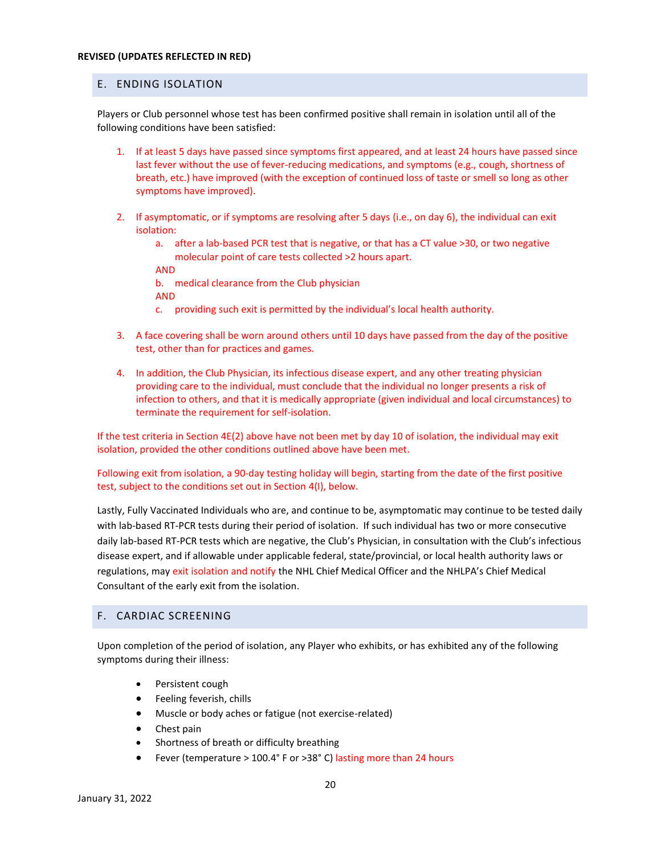# E. ENDING ISOLATION

Players or Club personnel whose test has been confirmed positive shall remain in isolation until all of the following conditions have been satisfied:

- 1. If at least 5 days have passed since symptoms first appeared, and at least 24 hours have passed since last fever without the use of fever-reducing medications, and symptoms (e.g., cough, shortness of breath, etc.) have improved (with the exception of continued loss of taste or smell so long as other symptoms have improved).
- 2. If asymptomatic, or if symptoms are resolving after 5 days (i.e., on day 6), the individual can exit isolation:
	- a. after a lab-based PCR test that is negative, or that has a CT value >30, or two negative molecular point of care tests collected >2 hours apart.
	- AND

b. medical clearance from the Club physician

- AND
- c. providing such exit is permitted by the individual's local health authority.
- 3. A face covering shall be worn around others until 10 days have passed from the day of the positive test, other than for practices and games.
- 4. In addition, the Club Physician, its infectious disease expert, and any other treating physician providing care to the individual, must conclude that the individual no longer presents a risk of infection to others, and that it is medically appropriate (given individual and local circumstances) to terminate the requirement for self-isolation.

If the test criteria in Section 4E(2) above have not been met by day 10 of isolation, the individual may exit isolation, provided the other conditions outlined above have been met.

Following exit from isolation, a 90-day testing holiday will begin, starting from the date of the first positive test, subject to the conditions set out in Section 4(I), below.

Lastly, Fully Vaccinated Individuals who are, and continue to be, asymptomatic may continue to be tested daily with lab-based RT-PCR tests during their period of isolation. If such individual has two or more consecutive daily lab-based RT-PCR tests which are negative, the Club's Physician, in consultation with the Club's infectious disease expert, and if allowable under applicable federal, state/provincial, or local health authority laws or regulations, may exit isolation and notify the NHL Chief Medical Officer and the NHLPA's Chief Medical Consultant of the early exit from the isolation.

# F. CARDIAC SCREENING

Upon completion of the period of isolation, any Player who exhibits, or has exhibited any of the following symptoms during their illness:

- Persistent cough
- Feeling feverish, chills
- Muscle or body aches or fatigue (not exercise-related)
- Chest pain
- Shortness of breath or difficulty breathing
- Fever (temperature > 100.4° F or >38° C) lasting more than 24 hours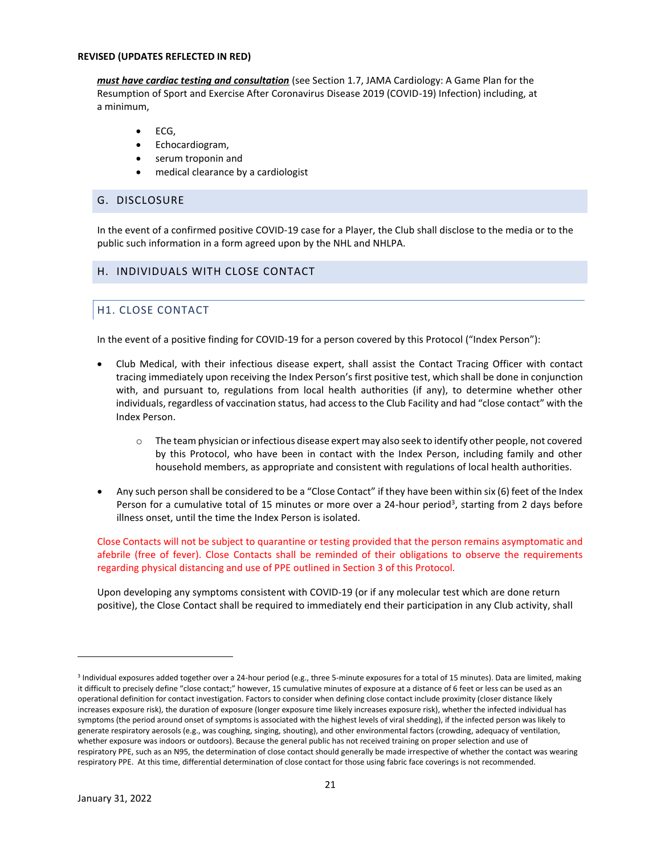*must have cardiac testing and consultation* (see Section 1.7, JAMA Cardiology: A Game Plan for the Resumption of Sport and Exercise After Coronavirus Disease 2019 (COVID-19) Infection) including, at a minimum,

- ECG,
- Echocardiogram,
- serum troponin and
- medical clearance by a cardiologist

## G. DISCLOSURE

In the event of a confirmed positive COVID-19 case for a Player, the Club shall disclose to the media or to the public such information in a form agreed upon by the NHL and NHLPA.

# H. INDIVIDUALS WITH CLOSE CONTACT

# H1. CLOSE CONTACT

In the event of a positive finding for COVID-19 for a person covered by this Protocol ("Index Person"):

- Club Medical, with their infectious disease expert, shall assist the Contact Tracing Officer with contact tracing immediately upon receiving the Index Person's first positive test, which shall be done in conjunction with, and pursuant to, regulations from local health authorities (if any), to determine whether other individuals, regardless of vaccination status, had access to the Club Facility and had "close contact" with the Index Person.
	- $\circ$  The team physician or infectious disease expert may also seek to identify other people, not covered by this Protocol, who have been in contact with the Index Person, including family and other household members, as appropriate and consistent with regulations of local health authorities.
- Any such person shall be considered to be a "Close Contact" if they have been within six (6) feet of the Index Person for a cumulative total of 15 minutes or more over a 24-hour period<sup>3</sup>, starting from 2 days before illness onset, until the time the Index Person is isolated.

Close Contacts will not be subject to quarantine or testing provided that the person remains asymptomatic and afebrile (free of fever). Close Contacts shall be reminded of their obligations to observe the requirements regarding physical distancing and use of PPE outlined in Section 3 of this Protocol.

Upon developing any symptoms consistent with COVID-19 (or if any molecular test which are done return positive), the Close Contact shall be required to immediately end their participation in any Club activity, shall

<sup>3</sup> Individual exposures added together over a 24-hour period (e.g., three 5-minute exposures for a total of 15 minutes). Data are limited, making it difficult to precisely define "close contact;" however, 15 cumulative minutes of exposure at a distance of 6 feet or less can be used as an operational definition for contact investigation. Factors to consider when defining close contact include proximity (closer distance likely increases exposure risk), the duration of exposure (longer exposure time likely increases exposure risk), whether the infected individual has symptoms (the period around onset of symptoms is associated with the highest levels of viral shedding), if the infected person was likely to generate respiratory aerosols (e.g., was coughing, singing, shouting), and other environmental factors (crowding, adequacy of ventilation, whether exposure was indoors or outdoors). Because the general public has not received training on proper selection and use of respiratory PPE, such as an N95, the determination of close contact should generally be made irrespective of whether the contact was wearing respiratory PPE. At this time, differential determination of close contact for those using fabric face coverings is not recommended.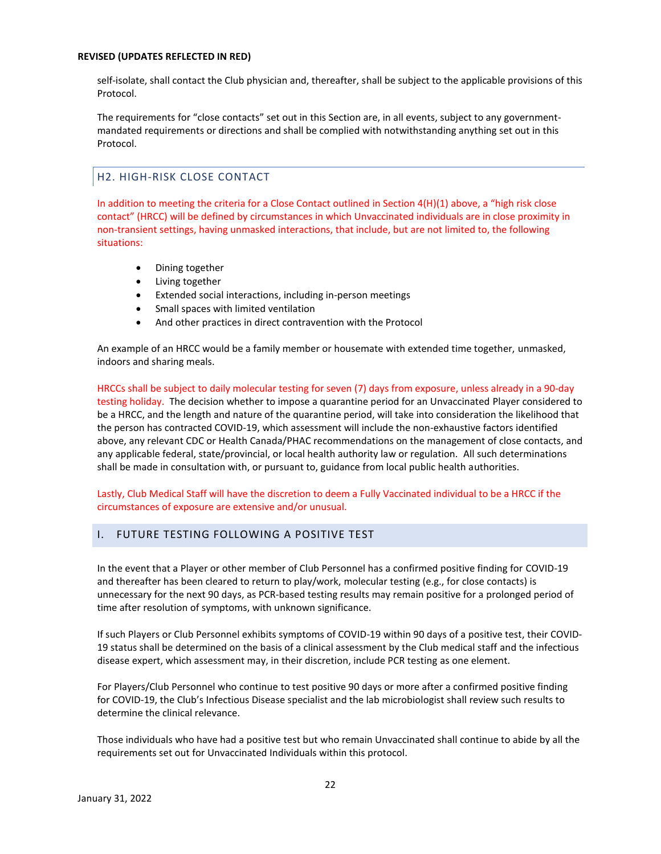self-isolate, shall contact the Club physician and, thereafter, shall be subject to the applicable provisions of this Protocol.

The requirements for "close contacts" set out in this Section are, in all events, subject to any governmentmandated requirements or directions and shall be complied with notwithstanding anything set out in this Protocol.

# H2. HIGH-RISK CLOSE CONTACT

In addition to meeting the criteria for a Close Contact outlined in Section 4(H)(1) above, a "high risk close contact" (HRCC) will be defined by circumstances in which Unvaccinated individuals are in close proximity in non-transient settings, having unmasked interactions, that include, but are not limited to, the following situations:

- Dining together
- Living together
- Extended social interactions, including in-person meetings
- Small spaces with limited ventilation
- And other practices in direct contravention with the Protocol

An example of an HRCC would be a family member or housemate with extended time together, unmasked, indoors and sharing meals.

HRCCs shall be subject to daily molecular testing for seven (7) days from exposure, unless already in a 90-day testing holiday. The decision whether to impose a quarantine period for an Unvaccinated Player considered to be a HRCC, and the length and nature of the quarantine period, will take into consideration the likelihood that the person has contracted COVID-19, which assessment will include the non-exhaustive factors identified above, any relevant CDC or Health Canada/PHAC recommendations on the management of close contacts, and any applicable federal, state/provincial, or local health authority law or regulation. All such determinations shall be made in consultation with, or pursuant to, guidance from local public health authorities.

Lastly, Club Medical Staff will have the discretion to deem a Fully Vaccinated individual to be a HRCC if the circumstances of exposure are extensive and/or unusual.

## I. FUTURE TESTING FOLLOWING A POSITIVE TEST

In the event that a Player or other member of Club Personnel has a confirmed positive finding for COVID-19 and thereafter has been cleared to return to play/work, molecular testing (e.g., for close contacts) is unnecessary for the next 90 days, as PCR-based testing results may remain positive for a prolonged period of time after resolution of symptoms, with unknown significance.

If such Players or Club Personnel exhibits symptoms of COVID-19 within 90 days of a positive test, their COVID-19 status shall be determined on the basis of a clinical assessment by the Club medical staff and the infectious disease expert, which assessment may, in their discretion, include PCR testing as one element.

For Players/Club Personnel who continue to test positive 90 days or more after a confirmed positive finding for COVID-19, the Club's Infectious Disease specialist and the lab microbiologist shall review such results to determine the clinical relevance.

Those individuals who have had a positive test but who remain Unvaccinated shall continue to abide by all the requirements set out for Unvaccinated Individuals within this protocol.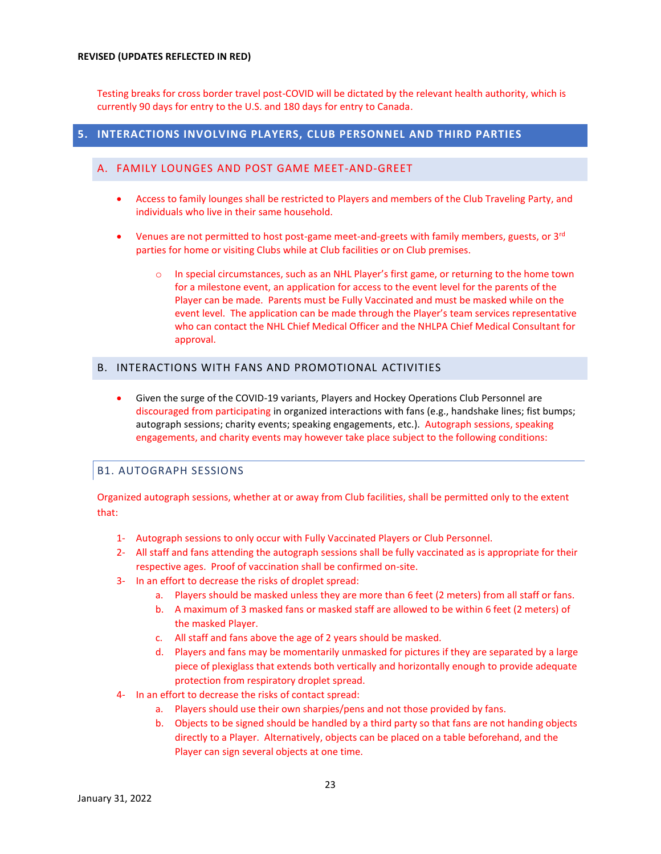Testing breaks for cross border travel post-COVID will be dictated by the relevant health authority, which is currently 90 days for entry to the U.S. and 180 days for entry to Canada.

# **5. INTERACTIONS INVOLVING PLAYERS, CLUB PERSONNEL AND THIRD PARTIES**

# A. FAMILY LOUNGES AND POST GAME MEET-AND-GREET

- Access to family lounges shall be restricted to Players and members of the Club Traveling Party, and individuals who live in their same household.
- Venues are not permitted to host post-game meet-and-greets with family members, guests, or  $3^{rd}$ parties for home or visiting Clubs while at Club facilities or on Club premises.
	- o In special circumstances, such as an NHL Player's first game, or returning to the home town for a milestone event, an application for access to the event level for the parents of the Player can be made. Parents must be Fully Vaccinated and must be masked while on the event level. The application can be made through the Player's team services representative who can contact the NHL Chief Medical Officer and the NHLPA Chief Medical Consultant for approval.

# B. INTERACTIONS WITH FANS AND PROMOTIONAL ACTIVITIES

• Given the surge of the COVID-19 variants, Players and Hockey Operations Club Personnel are discouraged from participating in organized interactions with fans (e.g., handshake lines; fist bumps; autograph sessions; charity events; speaking engagements, etc.). Autograph sessions, speaking engagements, and charity events may however take place subject to the following conditions:

# B1. AUTOGRAPH SESSIONS

Organized autograph sessions, whether at or away from Club facilities, shall be permitted only to the extent that:

- 1- Autograph sessions to only occur with Fully Vaccinated Players or Club Personnel.
- 2- All staff and fans attending the autograph sessions shall be fully vaccinated as is appropriate for their respective ages. Proof of vaccination shall be confirmed on-site.
- 3- In an effort to decrease the risks of droplet spread:
	- a. Players should be masked unless they are more than 6 feet (2 meters) from all staff or fans.
	- b. A maximum of 3 masked fans or masked staff are allowed to be within 6 feet (2 meters) of the masked Player.
	- c. All staff and fans above the age of 2 years should be masked.
	- d. Players and fans may be momentarily unmasked for pictures if they are separated by a large piece of plexiglass that extends both vertically and horizontally enough to provide adequate protection from respiratory droplet spread.
- 4- In an effort to decrease the risks of contact spread:
	- a. Players should use their own sharpies/pens and not those provided by fans.
	- b. Objects to be signed should be handled by a third party so that fans are not handing objects directly to a Player. Alternatively, objects can be placed on a table beforehand, and the Player can sign several objects at one time.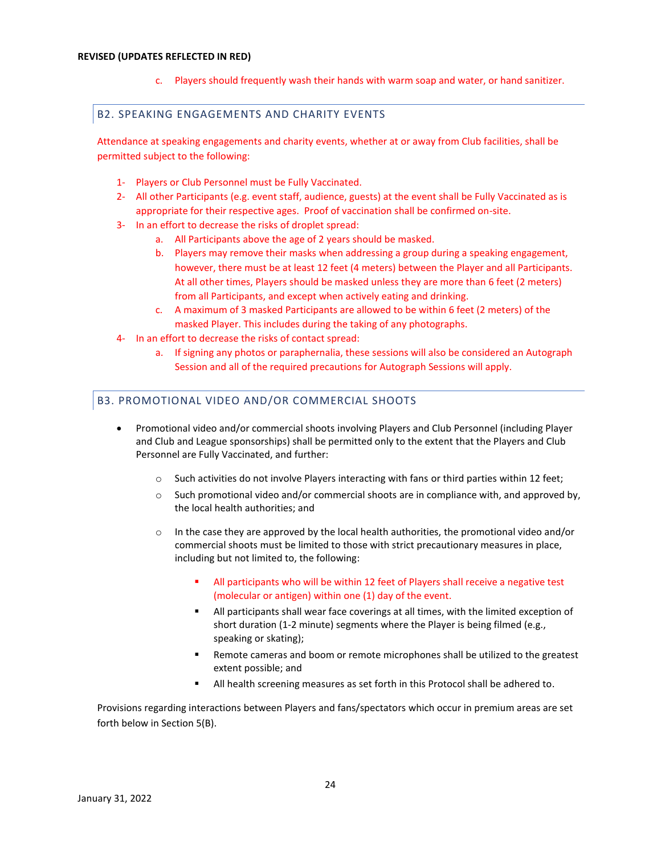c. Players should frequently wash their hands with warm soap and water, or hand sanitizer.

#### B2. SPEAKING ENGAGEMENTS AND CHARITY EVENTS

Attendance at speaking engagements and charity events, whether at or away from Club facilities, shall be permitted subject to the following:

- 1- Players or Club Personnel must be Fully Vaccinated.
- 2- All other Participants (e.g. event staff, audience, guests) at the event shall be Fully Vaccinated as is appropriate for their respective ages. Proof of vaccination shall be confirmed on-site.
- 3- In an effort to decrease the risks of droplet spread:
	- a. All Participants above the age of 2 years should be masked.
	- b. Players may remove their masks when addressing a group during a speaking engagement, however, there must be at least 12 feet (4 meters) between the Player and all Participants. At all other times, Players should be masked unless they are more than 6 feet (2 meters) from all Participants, and except when actively eating and drinking.
	- c. A maximum of 3 masked Participants are allowed to be within 6 feet (2 meters) of the masked Player. This includes during the taking of any photographs.
- 4- In an effort to decrease the risks of contact spread:
	- a. If signing any photos or paraphernalia, these sessions will also be considered an Autograph Session and all of the required precautions for Autograph Sessions will apply.

## B3. PROMOTIONAL VIDEO AND/OR COMMERCIAL SHOOTS

- Promotional video and/or commercial shoots involving Players and Club Personnel (including Player and Club and League sponsorships) shall be permitted only to the extent that the Players and Club Personnel are Fully Vaccinated, and further:
	- $\circ$  Such activities do not involve Players interacting with fans or third parties within 12 feet;
	- $\circ$  Such promotional video and/or commercial shoots are in compliance with, and approved by, the local health authorities; and
	- $\circ$  In the case they are approved by the local health authorities, the promotional video and/or commercial shoots must be limited to those with strict precautionary measures in place, including but not limited to, the following:
		- All participants who will be within 12 feet of Players shall receive a negative test (molecular or antigen) within one (1) day of the event.
		- All participants shall wear face coverings at all times, with the limited exception of short duration (1-2 minute) segments where the Player is being filmed (e.g., speaking or skating);
		- Remote cameras and boom or remote microphones shall be utilized to the greatest extent possible; and
		- All health screening measures as set forth in this Protocol shall be adhered to.

Provisions regarding interactions between Players and fans/spectators which occur in premium areas are set forth below in Section 5(B).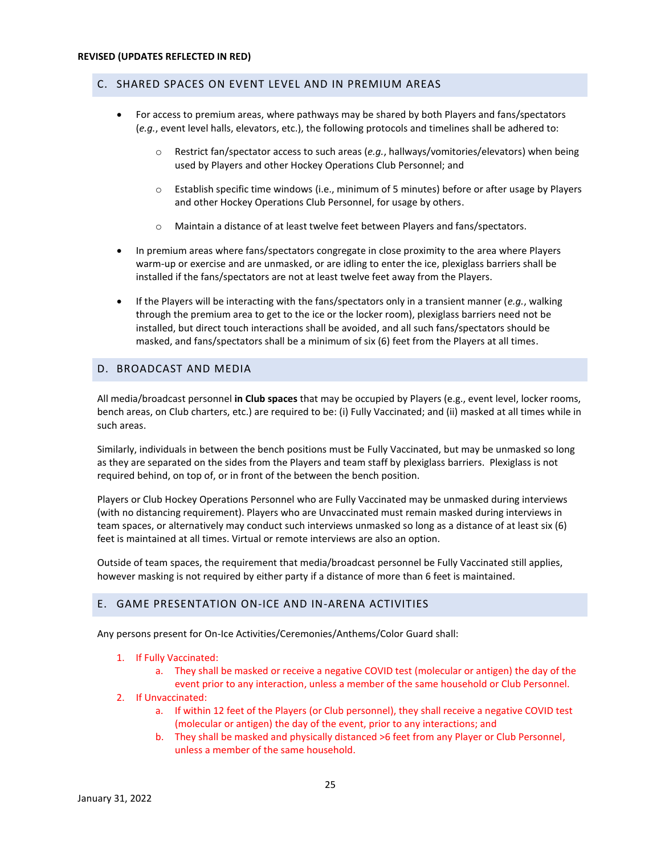#### C. SHARED SPACES ON EVENT LEVEL AND IN PREMIUM AREAS

- For access to premium areas, where pathways may be shared by both Players and fans/spectators (*e.g.*, event level halls, elevators, etc.), the following protocols and timelines shall be adhered to:
	- o Restrict fan/spectator access to such areas (*e.g.*, hallways/vomitories/elevators) when being used by Players and other Hockey Operations Club Personnel; and
	- o Establish specific time windows (i.e., minimum of 5 minutes) before or after usage by Players and other Hockey Operations Club Personnel, for usage by others.
	- o Maintain a distance of at least twelve feet between Players and fans/spectators.
- In premium areas where fans/spectators congregate in close proximity to the area where Players warm-up or exercise and are unmasked, or are idling to enter the ice, plexiglass barriers shall be installed if the fans/spectators are not at least twelve feet away from the Players.
- If the Players will be interacting with the fans/spectators only in a transient manner (*e.g.*, walking through the premium area to get to the ice or the locker room), plexiglass barriers need not be installed, but direct touch interactions shall be avoided, and all such fans/spectators should be masked, and fans/spectators shall be a minimum of six (6) feet from the Players at all times.

# D. BROADCAST AND MEDIA

All media/broadcast personnel **in Club spaces** that may be occupied by Players (e.g., event level, locker rooms, bench areas, on Club charters, etc.) are required to be: (i) Fully Vaccinated; and (ii) masked at all times while in such areas.

Similarly, individuals in between the bench positions must be Fully Vaccinated, but may be unmasked so long as they are separated on the sides from the Players and team staff by plexiglass barriers. Plexiglass is not required behind, on top of, or in front of the between the bench position.

Players or Club Hockey Operations Personnel who are Fully Vaccinated may be unmasked during interviews (with no distancing requirement). Players who are Unvaccinated must remain masked during interviews in team spaces, or alternatively may conduct such interviews unmasked so long as a distance of at least six (6) feet is maintained at all times. Virtual or remote interviews are also an option.

Outside of team spaces, the requirement that media/broadcast personnel be Fully Vaccinated still applies, however masking is not required by either party if a distance of more than 6 feet is maintained.

#### E. GAME PRESENTATION ON-ICE AND IN-ARENA ACTIVITIES

Any persons present for On-Ice Activities/Ceremonies/Anthems/Color Guard shall:

- 1. If Fully Vaccinated:
	- a. They shall be masked or receive a negative COVID test (molecular or antigen) the day of the event prior to any interaction, unless a member of the same household or Club Personnel.

#### 2. If Unvaccinated:

- a. If within 12 feet of the Players (or Club personnel), they shall receive a negative COVID test (molecular or antigen) the day of the event, prior to any interactions; and
- b. They shall be masked and physically distanced >6 feet from any Player or Club Personnel, unless a member of the same household.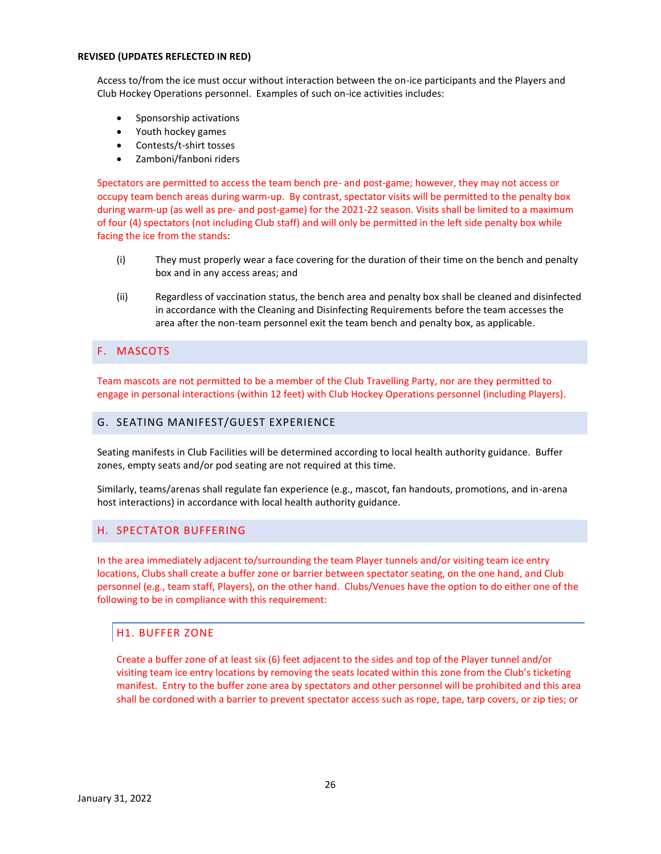Access to/from the ice must occur without interaction between the on-ice participants and the Players and Club Hockey Operations personnel. Examples of such on-ice activities includes:

- Sponsorship activations
- Youth hockey games
- Contests/t-shirt tosses
- Zamboni/fanboni riders

Spectators are permitted to access the team bench pre- and post-game; however, they may not access or occupy team bench areas during warm-up. By contrast, spectator visits will be permitted to the penalty box during warm-up (as well as pre- and post-game) for the 2021-22 season. Visits shall be limited to a maximum of four (4) spectators (not including Club staff) and will only be permitted in the left side penalty box while facing the ice from the stands:

- (i) They must properly wear a face covering for the duration of their time on the bench and penalty box and in any access areas; and
- (ii) Regardless of vaccination status, the bench area and penalty box shall be cleaned and disinfected in accordance with the Cleaning and Disinfecting Requirements before the team accesses the area after the non-team personnel exit the team bench and penalty box, as applicable.

# F. MASCOTS

Team mascots are not permitted to be a member of the Club Travelling Party, nor are they permitted to engage in personal interactions (within 12 feet) with Club Hockey Operations personnel (including Players).

#### G. SEATING MANIFEST/GUEST EXPERIENCE

Seating manifests in Club Facilities will be determined according to local health authority guidance. Buffer zones, empty seats and/or pod seating are not required at this time.

Similarly, teams/arenas shall regulate fan experience (e.g., mascot, fan handouts, promotions, and in-arena host interactions) in accordance with local health authority guidance.

## H. SPECTATOR BUFFERING

In the area immediately adjacent to/surrounding the team Player tunnels and/or visiting team ice entry locations, Clubs shall create a buffer zone or barrier between spectator seating, on the one hand, and Club personnel (e.g., team staff, Players), on the other hand. Clubs/Venues have the option to do either one of the following to be in compliance with this requirement:

## H1. BUFFER ZONE

Create a buffer zone of at least six (6) feet adjacent to the sides and top of the Player tunnel and/or visiting team ice entry locations by removing the seats located within this zone from the Club's ticketing manifest. Entry to the buffer zone area by spectators and other personnel will be prohibited and this area shall be cordoned with a barrier to prevent spectator access such as rope, tape, tarp covers, or zip ties; or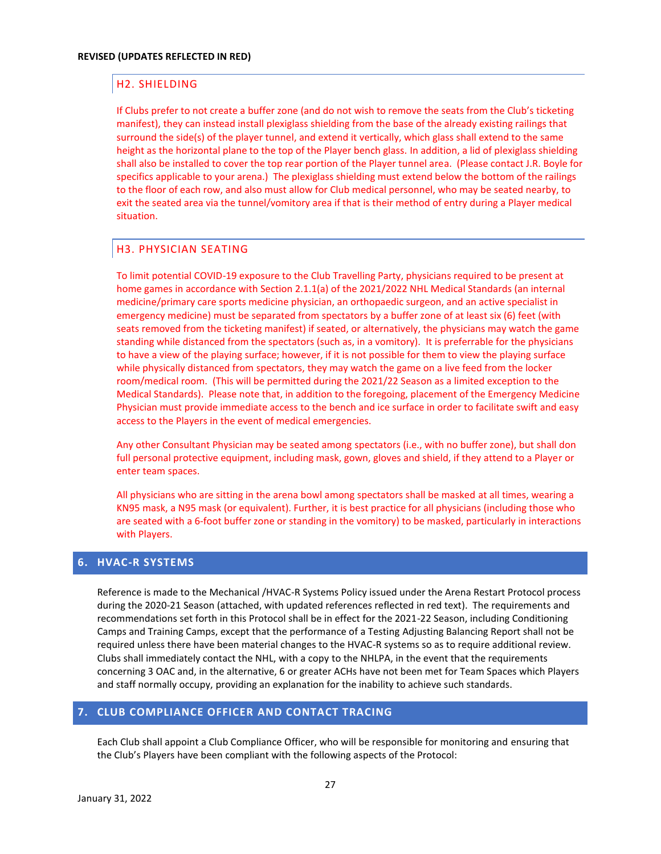# H2. SHIELDING

If Clubs prefer to not create a buffer zone (and do not wish to remove the seats from the Club's ticketing manifest), they can instead install plexiglass shielding from the base of the already existing railings that surround the side(s) of the player tunnel, and extend it vertically, which glass shall extend to the same height as the horizontal plane to the top of the Player bench glass. In addition, a lid of plexiglass shielding shall also be installed to cover the top rear portion of the Player tunnel area. (Please contact J.R. Boyle for specifics applicable to your arena.) The plexiglass shielding must extend below the bottom of the railings to the floor of each row, and also must allow for Club medical personnel, who may be seated nearby, to exit the seated area via the tunnel/vomitory area if that is their method of entry during a Player medical situation.

# H3. PHYSICIAN SEATING

To limit potential COVID-19 exposure to the Club Travelling Party, physicians required to be present at home games in accordance with Section 2.1.1(a) of the 2021/2022 NHL Medical Standards (an internal medicine/primary care sports medicine physician, an orthopaedic surgeon, and an active specialist in emergency medicine) must be separated from spectators by a buffer zone of at least six (6) feet (with seats removed from the ticketing manifest) if seated, or alternatively, the physicians may watch the game standing while distanced from the spectators (such as, in a vomitory). It is preferrable for the physicians to have a view of the playing surface; however, if it is not possible for them to view the playing surface while physically distanced from spectators, they may watch the game on a live feed from the locker room/medical room. (This will be permitted during the 2021/22 Season as a limited exception to the Medical Standards). Please note that, in addition to the foregoing, placement of the Emergency Medicine Physician must provide immediate access to the bench and ice surface in order to facilitate swift and easy access to the Players in the event of medical emergencies.

Any other Consultant Physician may be seated among spectators (i.e., with no buffer zone), but shall don full personal protective equipment, including mask, gown, gloves and shield, if they attend to a Player or enter team spaces.

All physicians who are sitting in the arena bowl among spectators shall be masked at all times, wearing a KN95 mask, a N95 mask (or equivalent). Further, it is best practice for all physicians (including those who are seated with a 6-foot buffer zone or standing in the vomitory) to be masked, particularly in interactions with Players.

# **6. HVAC-R SYSTEMS**

Reference is made to the Mechanical /HVAC-R Systems Policy issued under the Arena Restart Protocol process during the 2020-21 Season (attached, with updated references reflected in red text). The requirements and recommendations set forth in this Protocol shall be in effect for the 2021-22 Season, including Conditioning Camps and Training Camps, except that the performance of a Testing Adjusting Balancing Report shall not be required unless there have been material changes to the HVAC-R systems so as to require additional review. Clubs shall immediately contact the NHL, with a copy to the NHLPA, in the event that the requirements concerning 3 OAC and, in the alternative, 6 or greater ACHs have not been met for Team Spaces which Players and staff normally occupy, providing an explanation for the inability to achieve such standards.

## **7. CLUB COMPLIANCE OFFICER AND CONTACT TRACING**

Each Club shall appoint a Club Compliance Officer, who will be responsible for monitoring and ensuring that the Club's Players have been compliant with the following aspects of the Protocol: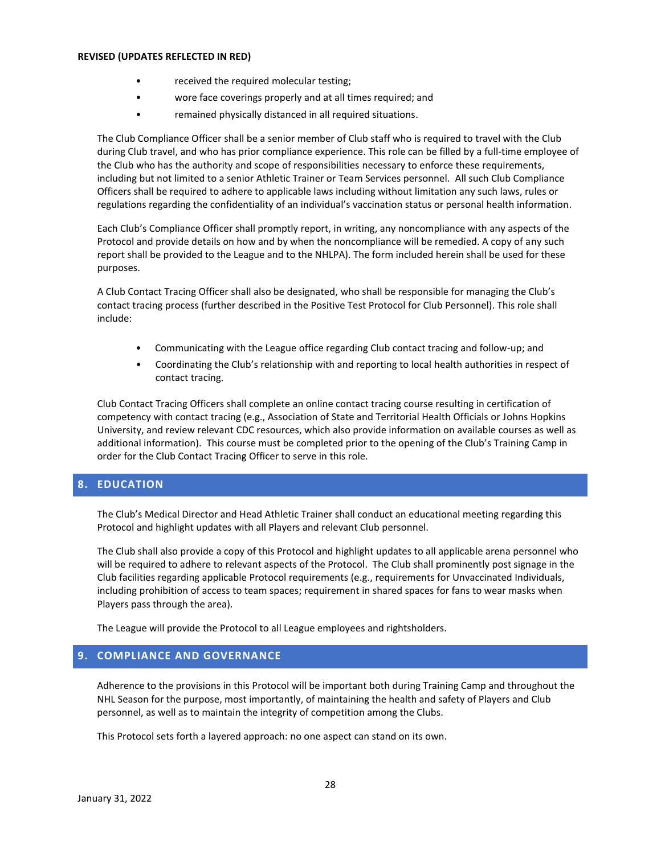- received the required molecular testing;
- wore face coverings properly and at all times required; and
- remained physically distanced in all required situations.

The Club Compliance Officer shall be a senior member of Club staff who is required to travel with the Club during Club travel, and who has prior compliance experience. This role can be filled by a full-time employee of the Club who has the authority and scope of responsibilities necessary to enforce these requirements, including but not limited to a senior Athletic Trainer or Team Services personnel. All such Club Compliance Officers shall be required to adhere to applicable laws including without limitation any such laws, rules or regulations regarding the confidentiality of an individual's vaccination status or personal health information.

Each Club's Compliance Officer shall promptly report, in writing, any noncompliance with any aspects of the Protocol and provide details on how and by when the noncompliance will be remedied. A copy of any such report shall be provided to the League and to the NHLPA). The form included herein shall be used for these purposes.

A Club Contact Tracing Officer shall also be designated, who shall be responsible for managing the Club's contact tracing process (further described in the Positive Test Protocol for Club Personnel). This role shall include:

- Communicating with the League office regarding Club contact tracing and follow-up; and
- Coordinating the Club's relationship with and reporting to local health authorities in respect of contact tracing.

Club Contact Tracing Officers shall complete an online contact tracing course resulting in certification of competency with contact tracing (e.g., Association of State and Territorial Health Officials or Johns Hopkins University, and review relevant CDC resources, which also provide information on available courses as well as additional information). This course must be completed prior to the opening of the Club's Training Camp in order for the Club Contact Tracing Officer to serve in this role.

# **8. EDUCATION**

The Club's Medical Director and Head Athletic Trainer shall conduct an educational meeting regarding this Protocol and highlight updates with all Players and relevant Club personnel.

The Club shall also provide a copy of this Protocol and highlight updates to all applicable arena personnel who will be required to adhere to relevant aspects of the Protocol. The Club shall prominently post signage in the Club facilities regarding applicable Protocol requirements (e.g., requirements for Unvaccinated Individuals, including prohibition of access to team spaces; requirement in shared spaces for fans to wear masks when Players pass through the area).

The League will provide the Protocol to all League employees and rightsholders.

## **9. COMPLIANCE AND GOVERNANCE**

Adherence to the provisions in this Protocol will be important both during Training Camp and throughout the NHL Season for the purpose, most importantly, of maintaining the health and safety of Players and Club personnel, as well as to maintain the integrity of competition among the Clubs.

This Protocol sets forth a layered approach: no one aspect can stand on its own.